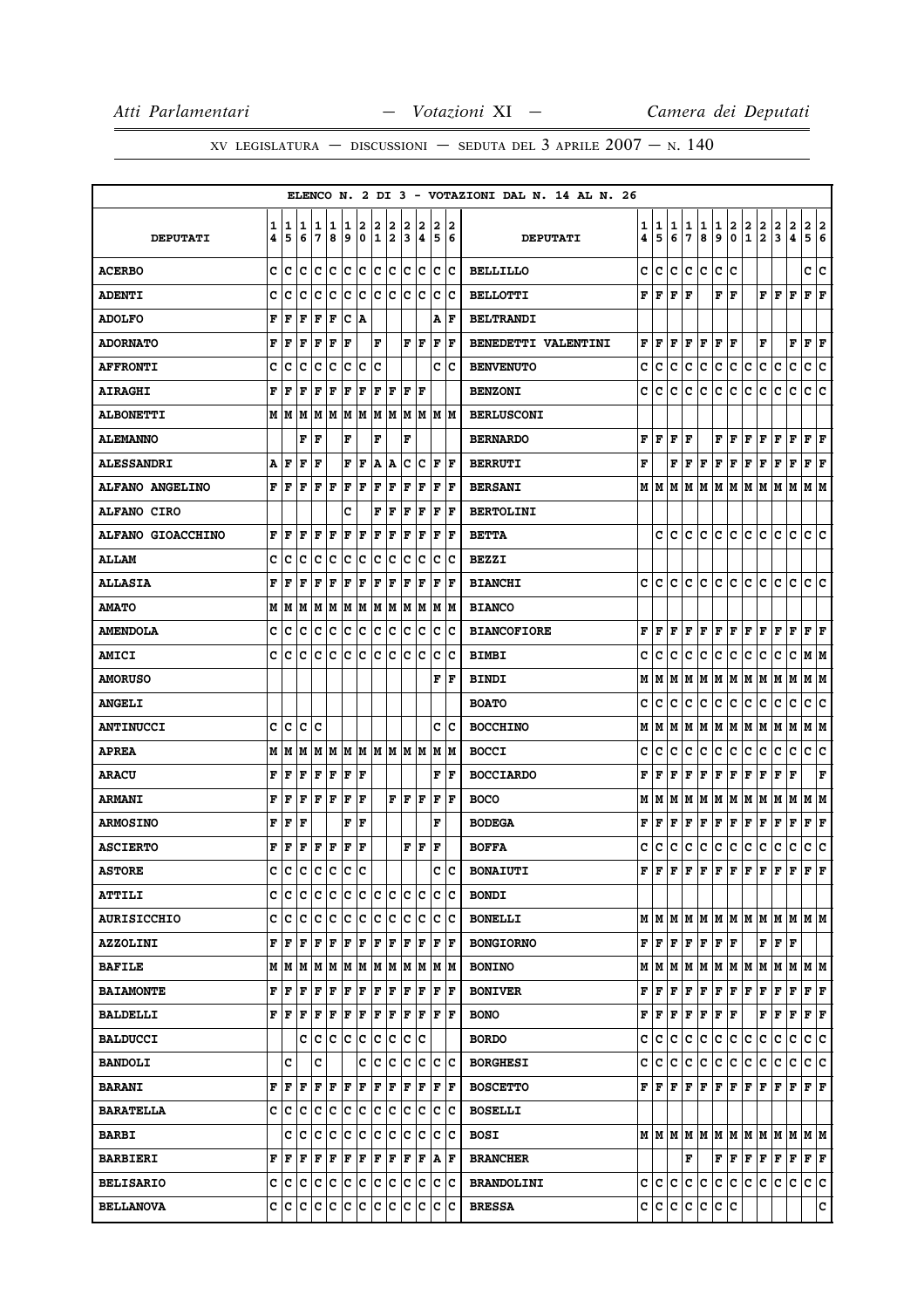|                    |        |                                             |          |        |           |        |        |        |        |        |        |             |         | ELENCO N. 2 DI 3 - VOTAZIONI DAL N. 14 AL N. 26 |        |        |        |             |           |             |                         |                   |                   |                                                                                                                                                                                                                                                                                                           |                              |                           |             |
|--------------------|--------|---------------------------------------------|----------|--------|-----------|--------|--------|--------|--------|--------|--------|-------------|---------|-------------------------------------------------|--------|--------|--------|-------------|-----------|-------------|-------------------------|-------------------|-------------------|-----------------------------------------------------------------------------------------------------------------------------------------------------------------------------------------------------------------------------------------------------------------------------------------------------------|------------------------------|---------------------------|-------------|
| <b>DEPUTATI</b>    | 1<br>4 | 5                                           | 1 1<br>6 | 1<br>7 | 1<br>8    | 1<br>9 | 2<br>0 | 2<br>1 | 2<br>2 | 2<br>3 | 2<br>4 | 2<br>5      | 12<br>6 | <b>DEPUTATI</b>                                 | 1<br>4 | 1<br>5 | 1<br>6 | 1<br>7      | 1<br>8    | 1<br>9      | 2<br>0                  | 2<br>$\mathbf{1}$ | $\mathbf{2}$<br>2 | 2<br>3                                                                                                                                                                                                                                                                                                    | 2<br>$\overline{\mathbf{4}}$ | 2<br>5                    | 2<br>16     |
| <b>ACERBO</b>      | c      | c                                           | lc       | Iс     | c         | c      | c      | c      | c      | c      | c      | c           | ∣c      | <b>BELLILLO</b>                                 | c      | c      | c      | c           | c         | c           | c                       |                   |                   |                                                                                                                                                                                                                                                                                                           |                              | c                         | c           |
| <b>ADENTI</b>      | C      | c                                           | c        | Iс     | c         | c      | c      | lc     | lc.    | lc.    | lc     | lc.         | Ιc      | <b>BELLOTTI</b>                                 | F      | F      | F      | F           |           | F           | F                       |                   | F                 | F                                                                                                                                                                                                                                                                                                         | F                            | $\mathbf{F} \mathbf{F}$   |             |
| <b>ADOLFO</b>      | F      | l F                                         | F        | F      | F         | c      | ١A     |        |        |        |        | А           | lF      | <b>BELTRANDI</b>                                |        |        |        |             |           |             |                         |                   |                   |                                                                                                                                                                                                                                                                                                           |                              |                           |             |
| <b>ADORNATO</b>    | F      | l F                                         | l F      | lF.    | F         | l F    |        | F      |        |        | F F    | l F         | l F     | <b>BENEDETTI VALENTINI</b>                      | F      | l F    | F      | F           | F         | F   F       |                         |                   | F                 |                                                                                                                                                                                                                                                                                                           | $\mathbf F$                  | $ {\bf F}  {\bf F} $      |             |
| <b>AFFRONTI</b>    | c      | c                                           | c        | Iс     | Ιc        | Ιc     | c      | c      |        |        |        | c           | ١c      | <b>BENVENUTO</b>                                | c      | c      | c      | c           | с         | c           | c                       | c                 | c                 | c                                                                                                                                                                                                                                                                                                         | c                            | c                         | c           |
| <b>AIRAGHI</b>     | F      | F                                           | F        | F      | F         | F      | F      | F      | F      | F      | lF     |             |         | <b>BENZONI</b>                                  | c      | c      | с      | c           | c         | с           | с                       | c                 | с                 | с                                                                                                                                                                                                                                                                                                         | c                            | c c                       |             |
| <b>ALBONETTI</b>   |        | MM                                          | lм       | lМ     | lм        | M      | lМ     | M      | lм     | M      | M      |             | IM IM   | <b>BERLUSCONI</b>                               |        |        |        |             |           |             |                         |                   |                   |                                                                                                                                                                                                                                                                                                           |                              |                           |             |
| <b>ALEMANNO</b>    |        |                                             | F        | F      |           | F      |        | F      |        | F      |        |             |         | <b>BERNARDO</b>                                 | F      | F      | F      | F           |           | F           | F                       | F                 | F                 | F                                                                                                                                                                                                                                                                                                         | F                            | $ {\bf F}  {\bf F} $      |             |
| <b>ALESSANDRI</b>  | Α      | F                                           | F        | F      |           | F      | F      | A      | A      | c      | Ιc     | ΙF          | l F     | <b>BERRUTI</b>                                  | F      |        | F      | F           | F         | F           | F                       | F                 | F                 | F                                                                                                                                                                                                                                                                                                         | F                            | ${\bf F} \,   \, {\bf F}$ |             |
| ALFANO ANGELINO    | F      | ١F                                          | F        | l F    | ΙF        | F      | ΙF     | ΙF     | F      | F      | ΙF     | F           | F       | <b>BERSANI</b>                                  |        | MM     | M      | М           | M         | M           | lм                      | M                 | M                 | M                                                                                                                                                                                                                                                                                                         | M                            | M  M                      |             |
| <b>ALFANO CIRO</b> |        |                                             |          |        |           | c      |        | F      | F      | ΙF     | F      | F           | F       | <b>BERTOLINI</b>                                |        |        |        |             |           |             |                         |                   |                   |                                                                                                                                                                                                                                                                                                           |                              |                           |             |
| ALFANO GIOACCHINO  | F      | F                                           | F        | F      | l F       | F      | F      | F      | F      | l F    | ΙF     | F           | l F     | <b>BETTA</b>                                    |        | c      | c      | c           | c         | c           | c                       | c                 | c                 | c                                                                                                                                                                                                                                                                                                         | c                            | c                         | ١c          |
| <b>ALLAM</b>       | c      | C                                           | IС       | Iс     | Ιc        | Ιc     | Iс     | c      | Iс     | c      | Ιc     | с           | Ιc      | <b>BEZZI</b>                                    |        |        |        |             |           |             |                         |                   |                   |                                                                                                                                                                                                                                                                                                           |                              |                           |             |
| <b>ALLASIA</b>     | F      | F                                           | F        | F      | l F       | F      | l F    | l F    | F      | l F    | F      | F           | l F     | <b>BIANCHI</b>                                  | c      | c      | c      | c           | c         | с           | c                       | с                 | c                 | с                                                                                                                                                                                                                                                                                                         | $\mathbf C$                  | c                         | lc.         |
| <b>AMATO</b>       |        | МM                                          | M        |        | MM        | M M    |        | M M    |        |        | M M    |             | M  M    | <b>BIANCO</b>                                   |        |        |        |             |           |             |                         |                   |                   |                                                                                                                                                                                                                                                                                                           |                              |                           |             |
| <b>AMENDOLA</b>    | c      | с                                           | Ιc       | Ιc     | Ιc        | lc.    | Iс     | lc.    | Iс     | lc.    | Iс     | c           | Ιc      | <b>BIANCOFIORE</b>                              | F      | F      | F      | F           | F         | F           | F                       | F                 | F                 | F                                                                                                                                                                                                                                                                                                         | F                            | ${\bf F}$ ${\bf F}$       |             |
| <b>AMICI</b>       | c      | ١c                                          | Ιc       | lc     | Ιc        | Iс     | Iс     | ١c     | Ιc     | lc.    | Ιc     | c           | Ιc      | <b>BIMBI</b>                                    | c      | c      | c      | c           | c         | c           | c                       | c                 | c                 | c                                                                                                                                                                                                                                                                                                         | c                            | M  M                      |             |
| <b>AMORUSO</b>     |        |                                             |          |        |           |        |        |        |        |        |        | F           | F       | <b>BINDI</b>                                    | М      | М      | M      | М           | M         | M M         |                         | M   M             |                   | M                                                                                                                                                                                                                                                                                                         | M                            | M  M                      |             |
| <b>ANGELI</b>      |        |                                             |          |        |           |        |        |        |        |        |        |             |         | <b>BOATO</b>                                    | c      | c      | c      | c           | с         | с           | с                       | с                 | c                 | с                                                                                                                                                                                                                                                                                                         | с                            | с                         | Ιc          |
| <b>ANTINUCCI</b>   | c      | ١c                                          | c        | Ιc     |           |        |        |        |        |        |        | c           | Ιc      | <b>BOCCHINO</b>                                 | м      | M      | M      | м           | M         | M           | M                       | M  M              |                   | M                                                                                                                                                                                                                                                                                                         | M                            | M  M                      |             |
| <b>APREA</b>       | М      | M                                           | M        | M      | M         | M      | M      | M M    |        | lм     | M      | M           | M       | <b>BOCCI</b>                                    | c      | c      | c      | c           | с         | c           | с                       | c                 | c                 | c                                                                                                                                                                                                                                                                                                         | с                            | c                         | c           |
| <b>ARACU</b>       | F      | F                                           | F        | F      | F         | F      | F      |        |        |        |        | F           | F       | <b>BOCCIARDO</b>                                | F      | F      | F      | F           | F         | F           | F                       | F                 | F                 | F                                                                                                                                                                                                                                                                                                         | F                            |                           | $\mathbf F$ |
| <b>ARMANI</b>      | F      | F                                           | F        | F      | F         | F      | ΙF     |        | F      | lF.    | F      | $\mathbf F$ | l F     | <b>BOCO</b>                                     | М      | M      | M      | м           | M         | M M         |                         | M                 | M                 | M                                                                                                                                                                                                                                                                                                         | M                            | M M                       |             |
| <b>ARMOSINO</b>    | F      | F                                           | F        |        |           | F      | F      |        |        |        |        | F           |         | <b>BODEGA</b>                                   | F      | F      | F      | F           | F         | $\mathbf F$ | F                       | F                 | F                 | F                                                                                                                                                                                                                                                                                                         | F                            | F                         | F           |
| <b>ASCIERTO</b>    | F      | F                                           | F        | F F    |           | F      | ΙF     |        |        |        | F F    | ΙF          |         | <b>BOFFA</b>                                    | c      | c      | c      | c           | с         | c           | c                       | с                 | c                 | с                                                                                                                                                                                                                                                                                                         | c                            | c                         | c           |
| <b>ASTORE</b>      | C      | Iс                                          | Ιc       | Ιc     | Ιc        | Iс     | ١c     |        |        |        |        | c           | Ιc      | <b>BONAIUTI</b>                                 | F      | l F    | F      | F           | F         | F           | F                       | F                 | F                 | F                                                                                                                                                                                                                                                                                                         | F                            | F                         | l F         |
| <b>ATTILI</b>      | c      | c                                           | c        | c      | Iс        | lc.    | ∣c     | c      | ∣c     | c      | c      | c           | c       | <b>BONDI</b>                                    |        |        |        |             |           |             |                         |                   |                   |                                                                                                                                                                                                                                                                                                           |                              |                           |             |
| <b>AURISICCHIO</b> | c      | ∣c                                          | lc       | c      | c         | c      | c      | c      | c      | c      | c      | $\mathbf C$ | lc      | <b>BONELLI</b>                                  |        | MM     |        |             |           |             |                         |                   |                   | MMMMMMMMMMMMM                                                                                                                                                                                                                                                                                             |                              |                           |             |
| <b>AZZOLINI</b>    |        | F  F                                        | lF       | F      | F         | F      | F      | F      | F      | l F    | F      | $\mathbf F$ | F       | <b>BONGIORNO</b>                                |        |        |        |             | F F F F F | F F         |                         |                   |                   | F F F                                                                                                                                                                                                                                                                                                     |                              |                           |             |
| <b>BAFILE</b>      |        | $M$ $ M$ $ M$ $ M$ $ M$ $ M$ $ M$ $ M$ $ M$ |          |        |           |        |        |        |        |        | MM     |             | M M     | <b>BONINO</b>                                   |        |        |        |             |           |             |                         |                   |                   | $M$   $M$   $M$   $M$   $M$   $M$   $M$   $M$   $M$   $M$   $M$   $M$                                                                                                                                                                                                                                     |                              |                           |             |
| <b>BAIAMONTE</b>   | F      | l F                                         | l F      | F      | F         | F      | F      | F      | F      | F      | F      | F           | lF.     | <b>BONIVER</b>                                  | F      | lF.    | F      | $\mathbf F$ | F         | F           | F                       | F                 | F                 | F                                                                                                                                                                                                                                                                                                         | F                            | F F                       |             |
| <b>BALDELLI</b>    |        | FF                                          | F        | F      | F F F F F |        |        |        |        | F      | F      | F           | ١F      | <b>BONO</b>                                     |        |        |        | F F F F F   |           | F F         |                         |                   | F                 | F F                                                                                                                                                                                                                                                                                                       |                              | $ {\bf F}  {\bf F} $      |             |
| <b>BALDUCCI</b>    |        |                                             | c        | c      | ١c        | c      | c      | c      | c      | lc.    | Ιc     |             |         | <b>BORDO</b>                                    | c      | с      | с      | c           | с         | с           | c                       | c                 | с                 | с                                                                                                                                                                                                                                                                                                         | c                            | c c                       |             |
| <b>BANDOLI</b>     |        | c                                           |          | c      |           |        | c      | c      | c      | c      | c      | c           | lc.     | <b>BORGHESI</b>                                 | c      | c.     | c      | c           | c         | c           | c                       | c                 | c                 | C                                                                                                                                                                                                                                                                                                         | c                            | c c                       |             |
| <b>BARANI</b>      | F      | l F                                         | lF       | lF.    | ١F        | lF.    | lF.    | F      | F      | F      | F      | F           | F       | <b>BOSCETTO</b>                                 | F      | lF.    | F      |             |           | F F F F     |                         | F F               |                   | $F$ $\overline{F}$                                                                                                                                                                                                                                                                                        |                              | $ {\bf F}  {\bf F} $      |             |
| <b>BARATELLA</b>   |        | c  c                                        | Ιc       | Iс     | Ιc        | lc.    | Iс     | Ιc     | Iс     | c      | Iс     | с           | ΙC      | <b>BOSELLI</b>                                  |        |        |        |             |           |             |                         |                   |                   |                                                                                                                                                                                                                                                                                                           |                              |                           |             |
| <b>BARBI</b>       |        |                                             | c  c     | ١c     | ∣c        | c      | c      | c c    |        | lc.    | Iс     | c           | ΙC      | <b>BOSI</b>                                     |        |        |        |             |           |             |                         |                   |                   | $\mathbf{M}$   $\mathbf{M}$   $\mathbf{M}$   $\mathbf{M}$   $\mathbf{M}$   $\mathbf{M}$   $\mathbf{M}$   $\mathbf{M}$   $\mathbf{M}$   $\mathbf{M}$   $\mathbf{M}$   $\mathbf{M}$   $\mathbf{M}$   $\mathbf{M}$   $\mathbf{M}$   $\mathbf{M}$   $\mathbf{M}$   $\mathbf{M}$   $\mathbf{M}$   $\mathbf{M}$ |                              |                           |             |
| <b>BARBIERI</b>    |        | F F                                         | F        | F      | F         | F F    |        | F F    |        | F      | F      | A           | ١F      | <b>BRANCHER</b>                                 |        |        |        | F           |           |             | $\mathbf{F} \mathbf{F}$ | F F               |                   | F                                                                                                                                                                                                                                                                                                         | F                            | F F                       |             |
| <b>BELISARIO</b>   |        |                                             |          |        |           |        |        |        |        |        |        |             | c c     | <b>BRANDOLINI</b>                               |        | c c c  |        | c           | c         | c.          | c                       | c.                | lc.               | lc.                                                                                                                                                                                                                                                                                                       | c.                           | c c                       |             |
| <b>BELLANOVA</b>   |        | c  c                                        |          | c c    | c c       |        | c      | c      | c      | c      | Iс     | c           | Ιc      | <b>BRESSA</b>                                   |        | c c    | c      | c           | c         | c.          | c                       |                   |                   |                                                                                                                                                                                                                                                                                                           |                              |                           | c.          |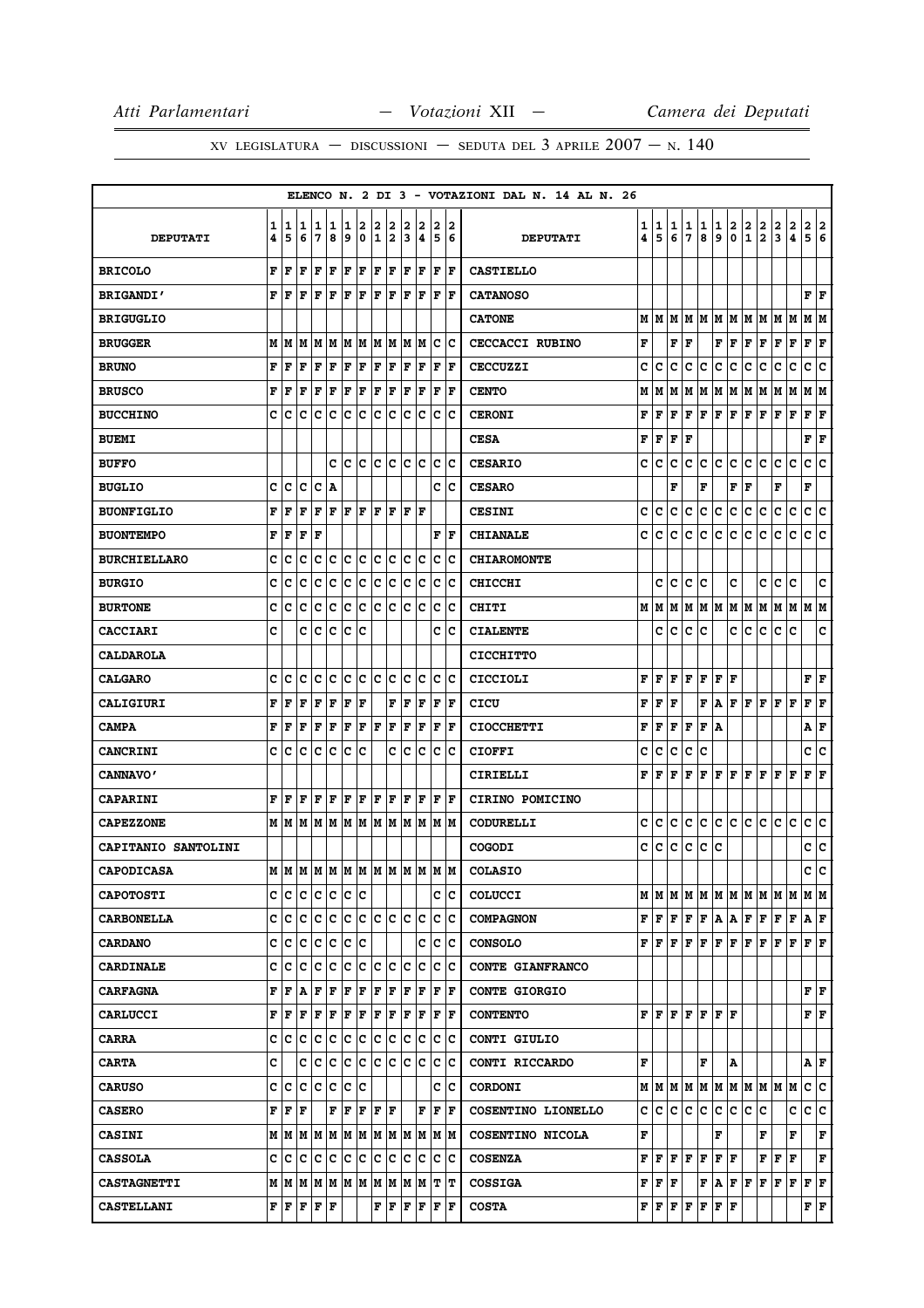|                     |        |        |                 |           |              |        |                    |                      |          |        |                         |        |                                                                                                                                  | ELENCO N. 2 DI 3 - VOTAZIONI DAL N. 14 AL N. 26 |                              |                                                                                                           |        |               |               |                                                                                                                                |               |               |               |                                                                       |               |                             |               |
|---------------------|--------|--------|-----------------|-----------|--------------|--------|--------------------|----------------------|----------|--------|-------------------------|--------|----------------------------------------------------------------------------------------------------------------------------------|-------------------------------------------------|------------------------------|-----------------------------------------------------------------------------------------------------------|--------|---------------|---------------|--------------------------------------------------------------------------------------------------------------------------------|---------------|---------------|---------------|-----------------------------------------------------------------------|---------------|-----------------------------|---------------|
| <b>DEPUTATI</b>     | 1<br>4 | 1<br>5 | 1<br>6          | 1<br>7    | 1<br>8       | 1<br>9 | 2<br>0             | 2<br>I1              | 2<br> 2  | 2<br>3 | 2<br>4                  | 2<br>5 | 2<br>6                                                                                                                           | <b>DEPUTATI</b>                                 | 1<br>$\overline{\mathbf{4}}$ | 1<br>5                                                                                                    | 1<br>6 | $\frac{1}{7}$ | $\frac{1}{8}$ | $\frac{1}{9}$                                                                                                                  | $\frac{2}{0}$ | $\frac{2}{1}$ | $\frac{2}{2}$ | $\frac{2}{3}$                                                         | $\frac{2}{4}$ | $\frac{2}{5}$               | $\frac{2}{6}$ |
| <b>BRICOLO</b>      | F      | F      | F               | F         | F            | F      | F                  | F F                  |          |        | F F                     |        | $ {\bf F}  {\bf F} $                                                                                                             | <b>CASTIELLO</b>                                |                              |                                                                                                           |        |               |               |                                                                                                                                |               |               |               |                                                                       |               |                             |               |
| <b>BRIGANDI'</b>    |        | FF     | F               | F         | F            | F      | ΙF                 |                      |          |        | F F F F                 |        | F F                                                                                                                              | <b>CATANOSO</b>                                 |                              |                                                                                                           |        |               |               |                                                                                                                                |               |               |               |                                                                       |               | FF                          |               |
| <b>BRIGUGLIO</b>    |        |        |                 |           |              |        |                    |                      |          |        |                         |        |                                                                                                                                  | <b>CATONE</b>                                   |                              | MIM                                                                                                       | M      | lМ            |               | M   M                                                                                                                          |               |               | M  M  M  M    |                                                                       | IМ            | MM                          |               |
| <b>BRUGGER</b>      |        | M   M  |                 |           |              |        |                    |                      |          |        |                         |        | M  M  M  M  M  M  M  M  M  C  C                                                                                                  | <b>CECCACCI RUBINO</b>                          | F                            |                                                                                                           | F      | F             |               | F                                                                                                                              | F             | F             | F             | F                                                                     | F             | ${\bf F} \,   \, {\bf F}$   |               |
| <b>BRUNO</b>        | F      | F      | F               | F         | $\mathbf F$  | F      | F                  | $ {\bf F}  {\bf F} $ |          | F      | F                       | F      | ١F                                                                                                                               | CECCUZZI                                        | c                            | c                                                                                                         | c      | c             | с             | с                                                                                                                              | с             | c             | с             | c                                                                     | c             | c                           | c             |
| <b>BRUSCO</b>       | F      | F      | F               | F         | $\mathbf{F}$ | F      | F                  | $ {\bf F} {\bf F}$   |          |        | $ {\bf F} $ ${\bf F}$   |        | F  F                                                                                                                             | <b>CENTO</b>                                    | М                            | М                                                                                                         | М      | М             | М             | М                                                                                                                              | M             | М             | M             | M                                                                     | М             | M   M                       |               |
| <b>BUCCHINO</b>     | C      | c      | C               | c         | C            | lc.    | $\bar{\mathbf{c}}$ | c c                  |          |        | c c                     |        | c c                                                                                                                              | <b>CERONI</b>                                   | F                            | F                                                                                                         | F      | F             | F             | F                                                                                                                              | F             | F             | F             | F                                                                     | $\mathbf F$   | $\mathbf{F} \mathbf{F}$     |               |
| <b>BUEMI</b>        |        |        |                 |           |              |        |                    |                      |          |        |                         |        |                                                                                                                                  | <b>CESA</b>                                     | F                            | F                                                                                                         | F      | F             |               |                                                                                                                                |               |               |               |                                                                       |               | $\mathbf{F}   \mathbf{F}$   |               |
| <b>BUFFO</b>        |        |        |                 |           | c            | lc.    |                    |                      |          |        | c c c c c               |        | c c                                                                                                                              | <b>CESARIO</b>                                  | c                            | c                                                                                                         | с      | с             | c             | c                                                                                                                              | c             | с             | c             | c                                                                     | c             | c                           | lc.           |
| <b>BUGLIO</b>       | c      | c      | c               | Iс        | A            |        |                    |                      |          |        |                         |        | c  c                                                                                                                             | <b>CESARO</b>                                   |                              |                                                                                                           | F      |               | F             |                                                                                                                                | F             | F             |               | F                                                                     |               | F                           |               |
| <b>BUONFIGLIO</b>   | F      | F      | F               | F         | F            |        | F F                | F F                  |          |        | F  F                    |        |                                                                                                                                  | <b>CESINI</b>                                   | с                            | с                                                                                                         | с      | с             | с             | с                                                                                                                              | c             | c             | с             | с                                                                     | c             | c c                         |               |
| <b>BUONTEMPO</b>    | F      | F      | F               | F         |              |        |                    |                      |          |        |                         |        | F  F                                                                                                                             | <b>CHIANALE</b>                                 | c                            | C                                                                                                         | c      | c             | c             | с                                                                                                                              | c             | c             | c             | c                                                                     | c             | c                           | ∣c            |
| <b>BURCHIELLARO</b> | c      | c      | с               | c         | c            | c c    |                    | c c                  |          |        | c c                     |        | c c                                                                                                                              | <b>CHIAROMONTE</b>                              |                              |                                                                                                           |        |               |               |                                                                                                                                |               |               |               |                                                                       |               |                             |               |
| <b>BURGIO</b>       | c      | c      | c               | c         | c            | c      | c                  | c c                  |          |        | c c                     |        | c c                                                                                                                              | <b>CHICCHI</b>                                  |                              | c                                                                                                         | c      | c             | c             |                                                                                                                                | c             |               | c             | с                                                                     | C             |                             | c             |
| <b>BURTONE</b>      | c      | с      | с               | с         | c            | ∣c∶    | $ {\bf c} $        |                      | le le le |        | Iс                      | ΙC     | Ιc                                                                                                                               | <b>CHITI</b>                                    | М                            | lм                                                                                                        | М      | М             |               | M   M                                                                                                                          | M M           |               | М             | М                                                                     |               | MMM                         |               |
| <b>CACCIARI</b>     | c      |        |                 | c c c c c |              |        |                    |                      |          |        |                         |        | c c                                                                                                                              | <b>CIALENTE</b>                                 |                              | с                                                                                                         | с      | c             | c             |                                                                                                                                | c             | с             | c             | c                                                                     | c             |                             | c             |
| <b>CALDAROLA</b>    |        |        |                 |           |              |        |                    |                      |          |        |                         |        |                                                                                                                                  | <b>CICCHITTO</b>                                |                              |                                                                                                           |        |               |               |                                                                                                                                |               |               |               |                                                                       |               |                             |               |
| <b>CALGARO</b>      | c      | с      | с               |           | c c          |        | c c                | c c                  |          |        |                         |        | c c c c                                                                                                                          | <b>CICCIOLI</b>                                 | F                            | F                                                                                                         | F      | F             | F             | ${\bf F}$ $\bf F$                                                                                                              |               |               |               |                                                                       |               | FF                          |               |
| <b>CALIGIURI</b>    | F      | F      | F               | F         | F            | F      | F                  |                      | F        | F      | F                       | F      | ١F                                                                                                                               | CICU                                            | F                            | F                                                                                                         | F      |               | F             | Α                                                                                                                              |               |               |               | F F F F F                                                             |               | ${\bf F}$ ${\bf F}$         |               |
| <b>CAMPA</b>        | F      | F      | F               | F         | F            | F      | F F F              |                      |          | F      | F                       |        | $ {\bf F}  {\bf F} $                                                                                                             | <b>CIOCCHETTI</b>                               | F                            | F                                                                                                         | F      | F             | F             | A                                                                                                                              |               |               |               |                                                                       |               | A F                         |               |
| <b>CANCRINI</b>     | c      | c      | c               | c         | c            | lc.    | IС                 |                      | c        | lc.    |                         |        | C C C                                                                                                                            | <b>CIOFFI</b>                                   | c                            | c                                                                                                         | с      | c             | c             |                                                                                                                                |               |               |               |                                                                       |               | c                           | c             |
| <b>CANNAVO'</b>     |        |        |                 |           |              |        |                    |                      |          |        |                         |        |                                                                                                                                  | CIRIELLI                                        | F                            | F                                                                                                         | F      | F             | F             | F                                                                                                                              | F             | F             | F             | F                                                                     | F             | F                           | F             |
| <b>CAPARINI</b>     |        | F F    |                 | F F       | F            |        |                    |                      |          |        | $F$ $F$ $F$ $F$ $F$ $F$ |        | F F                                                                                                                              | CIRINO POMICINO                                 |                              |                                                                                                           |        |               |               |                                                                                                                                |               |               |               |                                                                       |               |                             |               |
| <b>CAPEZZONE</b>    |        | M   M  |                 |           |              |        |                    |                      |          |        |                         |        | M  M  M  M  M  M  M  M  M  M  M                                                                                                  | <b>CODURELLI</b>                                | с                            | c                                                                                                         | c      | c             | с             | с                                                                                                                              | с             | c             | с             | c                                                                     | c             | c                           | c             |
| CAPITANIO SANTOLINI |        |        |                 |           |              |        |                    |                      |          |        |                         |        |                                                                                                                                  | <b>COGODI</b>                                   | c                            | c                                                                                                         | с      | с             | с             | c                                                                                                                              |               |               |               |                                                                       |               | c c                         |               |
| <b>CAPODICASA</b>   |        |        |                 |           |              |        |                    |                      |          |        |                         |        | м м м м м м м м м м м м м                                                                                                        | <b>COLASIO</b>                                  |                              |                                                                                                           |        |               |               |                                                                                                                                |               |               |               |                                                                       |               | c                           | c             |
| <b>CAPOTOSTI</b>    |        |        | c c c c c c c c |           |              |        |                    |                      |          |        |                         |        | c  c                                                                                                                             | <b>COLUCCI</b>                                  |                              |                                                                                                           |        |               |               |                                                                                                                                |               |               |               | $M$   $M$   $M$   $M$   $M$   $M$   $M$   $M$   $M$   $M$   $M$   $M$ |               |                             |               |
| <b>CARBONELLA</b>   |        |        |                 |           |              |        |                    |                      |          |        |                         |        |                                                                                                                                  | <b>COMPAGNON</b>                                |                              | ${\bf F}$ $\bf [F]$                                                                                       |        |               |               |                                                                                                                                |               |               | F F A A F F   | F F A F                                                               |               |                             |               |
| <b>CARDANO</b>      |        |        | c c c c c c c   |           |              |        |                    |                      |          |        |                         |        | c c c                                                                                                                            | <b>CONSOLO</b>                                  |                              | FIF                                                                                                       | F      | $\mathbf F$   | F             | F                                                                                                                              | F             | F             | F             | F                                                                     | F             | FF                          |               |
| <b>CARDINALE</b>    |        |        |                 |           |              |        |                    |                      |          |        |                         |        | c c c c c c c c c c c c c c c c                                                                                                  | CONTE GIANFRANCO                                |                              |                                                                                                           |        |               |               |                                                                                                                                |               |               |               |                                                                       |               |                             |               |
| <b>CARFAGNA</b>     |        | FF     | A               |           |              |        |                    |                      |          |        |                         |        | ${\bf F}\, \, {\bf F}\, \, {\bf F}\, \, {\bf F}\, \, {\bf F}\, \, {\bf F}\, \, {\bf F}\, \, {\bf F}\, \, {\bf F}\, \, {\bf F}\,$ | <b>CONTE GIORGIO</b>                            |                              |                                                                                                           |        |               |               |                                                                                                                                |               |               |               |                                                                       |               | ${\bf F} \parallel {\bf F}$ |               |
| <b>CARLUCCI</b>     |        | FF     |                 | F F F     |              |        |                    |                      |          |        | F F F F F F             |        | $ {\bf F} {\bf F}$                                                                                                               | <b>CONTENTO</b>                                 |                              |                                                                                                           |        |               |               | $\mathbf{F} \,   \, \mathbf{F} \,   \, \mathbf{F} \,   \, \mathbf{F} \,   \, \mathbf{F} \,   \, \mathbf{F} \,   \, \mathbf{F}$ |               |               |               |                                                                       |               | ${\bf F} \parallel {\bf F}$ |               |
| <b>CARRA</b>        |        |        |                 |           |              |        |                    |                      |          |        |                         |        |                                                                                                                                  | CONTI GIULIO                                    |                              |                                                                                                           |        |               |               |                                                                                                                                |               |               |               |                                                                       |               |                             |               |
| <b>CARTA</b>        | C      |        |                 |           |              |        |                    |                      |          |        |                         |        | $c   c   c   c   c   c   c   c   c   c   c$                                                                                      | CONTI RICCARDO                                  | F                            |                                                                                                           |        |               | F             |                                                                                                                                | А             |               |               |                                                                       |               | A F                         |               |
| <b>CARUSO</b>       |        | c c    |                 | c c c     |              | c c    |                    |                      |          |        |                         |        | c  c                                                                                                                             | <b>CORDONI</b>                                  |                              |                                                                                                           |        |               |               |                                                                                                                                |               |               |               | $M$   $M$   $M$   $M$   $M$   $M$   $M$   $M$   $M$   $M$             |               | c c                         |               |
| <b>CASERO</b>       | F      | F      | F               |           |              | F F    |                    |                      | F F F    |        | F                       |        | F F                                                                                                                              | COSENTINO LIONELLO                              | c                            | c                                                                                                         | c      | c             | с             | c                                                                                                                              | c             | c             | c             |                                                                       | c             | c c                         |               |
| <b>CASINI</b>       |        |        |                 |           |              |        |                    |                      |          |        |                         |        | $M$   $M$   $M$   $M$   $M$   $M$   $M$   $M$   $M$   $M$   $M$   $M$                                                            | COSENTINO NICOLA                                | F                            |                                                                                                           |        |               |               | F                                                                                                                              |               |               | F             |                                                                       | F             |                             | F             |
| <b>CASSOLA</b>      | c      | с      |                 |           |              |        |                    |                      |          |        |                         |        | C C C C C C C C C C C                                                                                                            | <b>COSENZA</b>                                  | F                            | F                                                                                                         | F      | F             | F             | F                                                                                                                              | F             |               | F             | F                                                                     | F             |                             | F             |
| <b>CASTAGNETTI</b>  |        |        |                 |           |              |        |                    |                      |          |        |                         |        |                                                                                                                                  | <b>COSSIGA</b>                                  |                              | F F F                                                                                                     |        |               |               | F A                                                                                                                            |               | F F           | F F           |                                                                       |               | F F F                       |               |
| <b>CASTELLANI</b>   |        |        | F F F F F       |           |              |        |                    |                      |          |        |                         |        | $\mathbf{F} \left  \mathbf{F} \right  \mathbf{F} \left  \mathbf{F} \right  \mathbf{F} \left  \mathbf{F} \right.$                 | <b>COSTA</b>                                    |                              | $\mathbf{F} \left  \mathbf{F} \right. \left  \mathbf{F} \right. \left  \mathbf{F} \right. \left  \right.$ |        |               | Г             | F F                                                                                                                            |               |               |               |                                                                       |               | $\mathbf{F}   \mathbf{F}$   |               |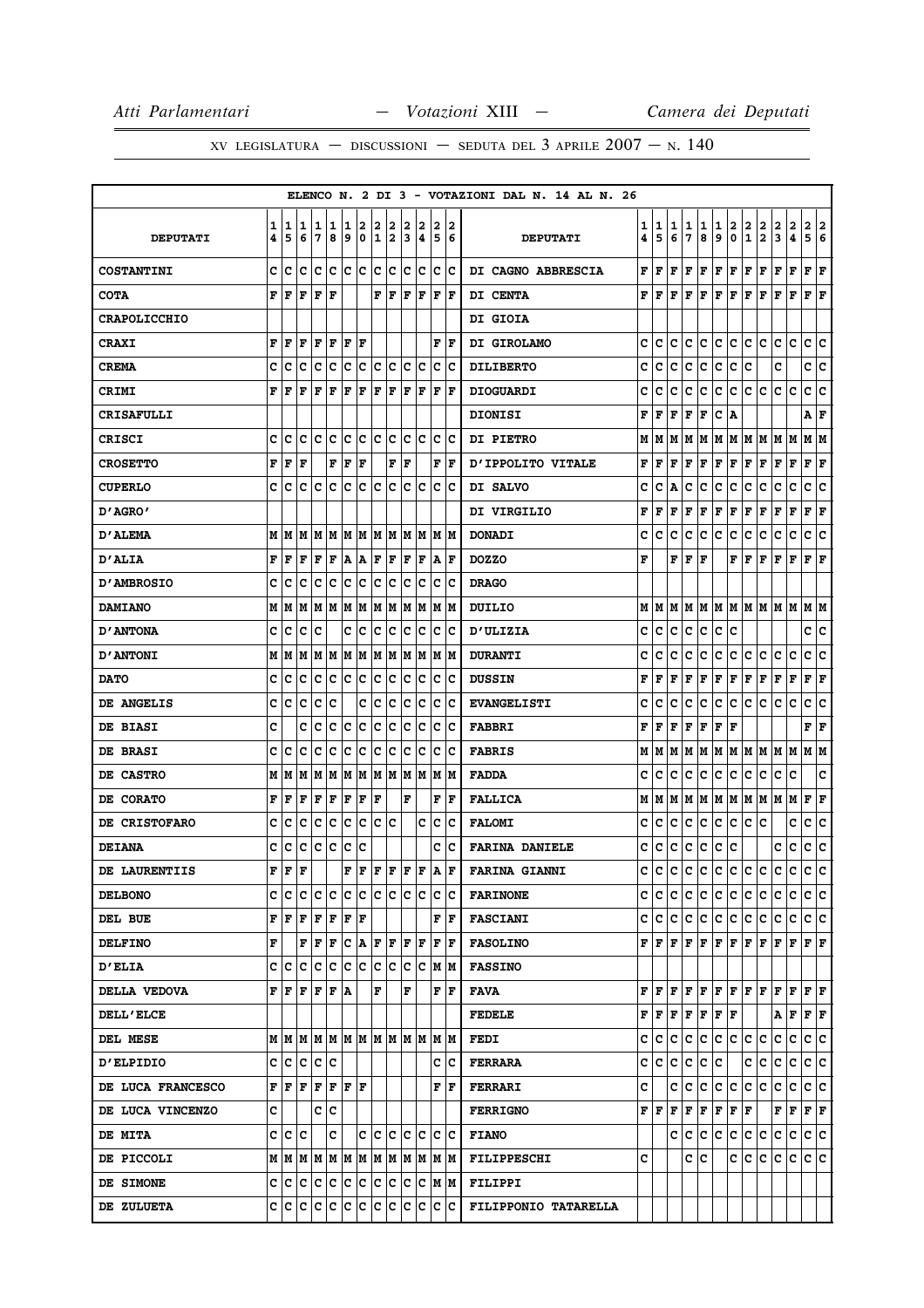|                          |   |                                                                                                                                |                         |     |     |     |             |         |    |                             |     |                     |                        | ELENCO N. 2 DI 3 - VOTAZIONI DAL N. 14 AL N. 26 |   |     |   |     |                                                                                                                                                   |     |                         |               |               |                                                           |              |                                                                                                     |    |
|--------------------------|---|--------------------------------------------------------------------------------------------------------------------------------|-------------------------|-----|-----|-----|-------------|---------|----|-----------------------------|-----|---------------------|------------------------|-------------------------------------------------|---|-----|---|-----|---------------------------------------------------------------------------------------------------------------------------------------------------|-----|-------------------------|---------------|---------------|-----------------------------------------------------------|--------------|-----------------------------------------------------------------------------------------------------|----|
|                          | 1 | 1                                                                                                                              | 1                       | 1   | 1   | 1   | 2           | 2       | 2  | 2                           | 2   | 2                   | 2                      |                                                 | 1 | 1   | 1 | 1   | 1                                                                                                                                                 | 1   | 2                       | 2             |               | 2                                                         |              | 2                                                                                                   | 2  |
| <b>DEPUTATI</b>          | 4 | 5                                                                                                                              | 6                       | 7   | 8   | 9   | 0           | 1       | 2  | 3                           | 14  | 5                   | 6                      | <b>DEPUTATI</b>                                 | 4 | 5   | 6 | 7   | 8                                                                                                                                                 | 9   | $\overline{\mathbf{0}}$ | $\mathbf{1}$  | $\frac{2}{2}$ | 3                                                         | 2<br>4       | 5 <sup>1</sup>                                                                                      | 6  |
| <b>COSTANTINI</b>        | c | ١c                                                                                                                             | c                       | Iс  | ١c  | lc. | $ {\bf c} $ | Ιc      | Iс | lc.                         | Ιc  | c                   | Ιc                     | DI CAGNO ABBRESCIA                              | F | l F | F | l F | F                                                                                                                                                 | F   | F                       | F             | l F           | F                                                         | F            | F                                                                                                   | ΙF |
| <b>COTA</b>              | F | lF                                                                                                                             | l F                     | F   | ΙF  |     |             | F       | F  | lF.                         | F   | F                   | ١F                     | DI CENTA                                        | F | F F |   | F   | lF.                                                                                                                                               | F F |                         | F F           |               | F                                                         | l F          | F F                                                                                                 |    |
| <b>CRAPOLICCHIO</b>      |   |                                                                                                                                |                         |     |     |     |             |         |    |                             |     |                     |                        | <b>DI GIOIA</b>                                 |   |     |   |     |                                                                                                                                                   |     |                         |               |               |                                                           |              |                                                                                                     |    |
| <b>CRAXI</b>             | F | ١F                                                                                                                             | F                       | F   | ΙF  | F   | ١F          |         |    |                             |     |                     | ${\bf F} \mid {\bf F}$ | DI GIROLAMO                                     | c | IC. | с | c   | c                                                                                                                                                 | c   | lc.                     | ∣c.           | lc.           | c                                                         | c            | c c                                                                                                 |    |
| <b>CREMA</b>             | c | c                                                                                                                              | c                       | c   | c   | c   | c           | c       | c  | c                           | c   | $\mathbf C$         | Ιc                     | <b>DILIBERTO</b>                                | c | c   | с | c   | c                                                                                                                                                 | c   | c                       | c             |               | c                                                         |              | c                                                                                                   | c  |
| <b>CRIMI</b>             | F | l F                                                                                                                            | l F                     | F   | ΙF  | ΙF  | F           | F       | F  | F                           | F   | l F                 | l F                    | <b>DIOGUARDI</b>                                | c | c   | c | c   | c                                                                                                                                                 | c   | lc.                     | c             | c             | c                                                         | c            | c                                                                                                   | c  |
| <b>CRISAFULLI</b>        |   |                                                                                                                                |                         |     |     |     |             |         |    |                             |     |                     |                        | <b>DIONISI</b>                                  | F | F   | F | F   | F                                                                                                                                                 | C A |                         |               |               |                                                           |              | Α                                                                                                   | F  |
| CRISCI                   | c | с                                                                                                                              | с                       | Iс  | Ιc  | Ιc  | Iс          | Ιc      | Iс | lc.                         | lc  | c                   | ١c                     | DI PIETRO                                       | М | IМ  |   |     | M   M   M                                                                                                                                         |     |                         | M   M   M   M |               |                                                           | lм           | MM                                                                                                  |    |
| <b>CROSETTO</b>          |   | FF                                                                                                                             | F                       |     | F   | F   | F           |         |    | ${\bf F} \parallel {\bf F}$ |     | F                   | ١F                     | D'IPPOLITO VITALE                               | F | F   | F | F   | F                                                                                                                                                 | F F |                         | F F           |               | F                                                         | $\mathbf{F}$ | $ {\bf F}  {\bf F} $                                                                                |    |
| <b>CUPERLO</b>           | c | c                                                                                                                              | c                       | c   | c   | c   | c           | c       | c  | с                           | Ιc  | с                   | Ιc                     | DI SALVO                                        | c | c   | A | c   | c                                                                                                                                                 | с   | c                       | c             | c             | c                                                         | c            | с                                                                                                   | c  |
| "AGRO מ                  |   |                                                                                                                                |                         |     |     |     |             |         |    |                             |     |                     |                        | DI VIRGILIO                                     | F | F   | F | F   | F                                                                                                                                                 | F   | F                       | F             | F             | F                                                         | $\mathbf F$  | F                                                                                                   | F  |
| <b>D'ALEMA</b>           | M | M                                                                                                                              | M                       | M   | M   | M   | M           | M       | M  | M                           | M   | М                   | lм                     | <b>DONADI</b>                                   | c | c   | c | c   | c                                                                                                                                                 | c   | c                       | c             | c             | c                                                         | c            | c                                                                                                   | c  |
| <b>D'ALIA</b>            | F | l F                                                                                                                            | l F                     | F   | F   | A   | A           | F       | F  | ΙF                          | F   |                     | A  F                   | <b>DOZZO</b>                                    | F |     |   | F F | F                                                                                                                                                 |     | F                       | lF.           | l F           | F                                                         | F            | F                                                                                                   | lF |
| <b>D'AMBROSIO</b>        | c | C                                                                                                                              | c                       | c   | c   | Ιc  | c           | Ιc      | Ιc | lc                          | Ιc  | c                   | Ιc                     | <b>DRAGO</b>                                    |   |     |   |     |                                                                                                                                                   |     |                         |               |               |                                                           |              |                                                                                                     |    |
| <b>DAMIANO</b>           | M | M                                                                                                                              | М                       | M   | lМ  | M   | M           | M       | M  | M                           | M   | М                   | lМ                     | DUILIO                                          | М | IМ  |   | M M | lм                                                                                                                                                |     | M M                     | M M           |               | M                                                         | M            | МM                                                                                                  |    |
| <b>D'ANTONA</b>          | c | ١c                                                                                                                             | Ιc                      | Iс  |     | c   | Iс          | lc.     | Iс | lc.                         | Iс  | c                   | Ιc                     | <b>D'ULIZIA</b>                                 | c | IC. | с | c   | c                                                                                                                                                 | c   | lc                      |               |               |                                                           |              | c  c                                                                                                |    |
| <b>D'ANTONI</b>          | М | M                                                                                                                              | M                       | M   | M   | M   | M           | M       | M  | M                           | M   | M                   | lМ                     | <b>DURANTI</b>                                  | c | c   | c | c   | c                                                                                                                                                 | с   | c                       | с             | с             | с                                                         | c            | с                                                                                                   | c  |
| <b>DATO</b>              | c | c                                                                                                                              | c                       | с   | c   | c   | c           | c       | c  | с                           | c   | c                   | Ιc                     | <b>DUSSIN</b>                                   | F | l F | F | F   | F                                                                                                                                                 | F   | F                       | F             | F             | F                                                         | F            | F                                                                                                   | F  |
| DE ANGELIS               | c | c                                                                                                                              | C                       | c   | C   |     | c           | c       | с  | c                           | Ιc  | c                   | Ιc                     | <b>EVANGELISTI</b>                              | c | c   | c | с   | c                                                                                                                                                 | с   | c                       | c             | c             | с                                                         | c            | c                                                                                                   | c  |
| <b>DE BIASI</b>          | C |                                                                                                                                | c                       | c   | c   | c   | c           | c       | с  | c                           | Ιc  | с                   | ١c                     | <b>FABBRI</b>                                   | F | l F | F | F   | F                                                                                                                                                 | F   | F                       |               |               |                                                           |              | F                                                                                                   | F  |
| <b>DE BRASI</b>          | c | C                                                                                                                              | c                       | c   | c   | c   | c           | c       | Ιc | lc.                         | Iс  | c                   | Ιc                     | <b>FABRIS</b>                                   | М | IМ  |   |     |                                                                                                                                                   |     |                         |               |               | M  M  M  M  M  M  M  M  M                                 |              | M M                                                                                                 |    |
| <b>DE CASTRO</b>         | М | lМ                                                                                                                             | M                       | M   | M   | M   | M           | lм      | M  | lм                          | M   | M                   | lМ                     | <b>FADDA</b>                                    | c | c   | c | c   | c                                                                                                                                                 | c   | lc.                     | с             | c             | с                                                         | c            |                                                                                                     | c  |
| DE CORATO                | F | F                                                                                                                              | F                       | F   | F   | F   | F           | l F     |    | F                           |     | F                   | F                      | <b>FALLICA</b>                                  |   |     |   |     |                                                                                                                                                   |     |                         |               |               | $M$   $M$   $M$   $M$   $M$   $M$   $M$   $M$   $M$   $M$ |              | F F                                                                                                 |    |
| DE CRISTOFARO            | c | c                                                                                                                              | c                       | c   | с   | c   | c           | c       | с  |                             | c   | c                   | Ιc                     | <b>FALOMI</b>                                   | c | c   | с | с   | с                                                                                                                                                 | с   | c                       | с             | c             |                                                           | c            | с                                                                                                   | c  |
| <b>DEIANA</b>            | c | c                                                                                                                              | c                       | c   | c   | c   | c           |         |    |                             |     | c                   | Ιc                     | <b>FARINA DANIELE</b>                           | c | c   | c | c   | c                                                                                                                                                 | c   | c                       |               |               | c                                                         | c            | c                                                                                                   | c  |
| DE LAURENTIIS            | F | F                                                                                                                              | $\overline{\mathbf{F}}$ |     |     | F   | F           | F F F F |    |                             |     | ١A                  | F                      | <b>FARINA GIANNI</b>                            | c | lc. |   |     | c c c c c c c c                                                                                                                                   |     |                         |               |               | lc.                                                       | lc.          | c.                                                                                                  | lc |
| <b>DELBONO</b>           |   |                                                                                                                                |                         |     |     |     |             |         |    |                             |     |                     |                        | <b>FARINONE</b>                                 |   |     |   |     | cicicicicicicicicic                                                                                                                               |     |                         |               |               |                                                           |              | c c c                                                                                               |    |
| DEL BUE                  |   | $\mathbf{F} \,   \, \mathbf{F} \,   \, \mathbf{F} \,   \, \mathbf{F} \,   \, \mathbf{F} \,   \, \mathbf{F} \,   \, \mathbf{F}$ |                         |     |     |     |             |         |    |                             |     |                     | FF                     | <b>FASCIANI</b>                                 |   |     |   |     |                                                                                                                                                   |     |                         |               |               |                                                           |              | c c c c c c c c c c c c c c c c                                                                     |    |
| <b>DELFINO</b>           | F |                                                                                                                                | F                       | F   | ΙF  |     | C A         | F F     |    | F                           | l F | F                   | ١F                     | <b>FASOLINO</b>                                 |   |     |   |     |                                                                                                                                                   |     |                         |               |               |                                                           |              | ${\bf F}$ $\bf [F]$ $\bf F$ $\bf [F]$ $\bf F$ $\bf [F]$ $\bf F$ $\bf [F]$ $\bf F$ $\bf [F]$ $\bf F$ |    |
| <b>D'ELIA</b>            |   | C C C C C C C C C                                                                                                              |                         |     |     |     |             |         |    |                             | c c |                     | M M                    | <b>FASSINO</b>                                  |   |     |   |     |                                                                                                                                                   |     |                         |               |               |                                                           |              |                                                                                                     |    |
| <b>DELLA VEDOVA</b>      |   | FF                                                                                                                             | l F                     | F   | F A |     |             | l F     |    | F                           |     | F                   | ١F                     | <b>FAVA</b>                                     |   |     |   |     |                                                                                                                                                   |     |                         |               |               |                                                           |              | FFFFFFFFFFFFFFF                                                                                     |    |
| <b>DELL'ELCE</b>         |   |                                                                                                                                |                         |     |     |     |             |         |    |                             |     |                     |                        | <b>FEDELE</b>                                   |   |     |   |     | $\mathbf{F} \left  \mathbf{F} \right  \mathbf{F} \left  \mathbf{F} \right  \mathbf{F} \left  \mathbf{F} \right  \mathbf{F}$                       |     |                         |               |               |                                                           |              | ${\tt A}$ ${\tt F}$ ${\tt F}$ ${\tt F}$                                                             |    |
| <b>DEL MESE</b>          |   | MMMMMMMMMMMMMMM                                                                                                                |                         |     |     |     |             |         |    |                             |     |                     |                        | FEDI                                            |   |     |   |     | c c c c c c c c c c                                                                                                                               |     |                         |               |               | c c                                                       |              | c c                                                                                                 |    |
| <b>D'ELPIDIO</b>         |   | c le le le le                                                                                                                  |                         |     |     |     |             |         |    |                             |     |                     | c Ic                   | <b>FERRARA</b>                                  |   |     |   |     | c c c c c c                                                                                                                                       |     |                         |               | c c           |                                                           |              | c c c c                                                                                             |    |
| <b>DE LUCA FRANCESCO</b> |   | ${\bf F}$ $\bf [F]$ $\bf [F]$ $\bf [F]$ $\bf [F]$ $\bf [F]$                                                                    |                         |     |     |     |             |         |    |                             |     |                     | F F                    | <b>FERRARI</b>                                  | c |     |   |     | c c c c c c c c                                                                                                                                   |     |                         |               |               | c c                                                       |              | c c                                                                                                 |    |
| DE LUCA VINCENZO         | c |                                                                                                                                |                         | c c |     |     |             |         |    |                             |     |                     |                        | <b>FERRIGNO</b>                                 |   |     |   |     | $\mathbf{F} \,   \, \mathbf{F} \,   \, \mathbf{F} \,   \, \mathbf{F} \,   \, \mathbf{F} \,   \, \mathbf{F} \,   \, \mathbf{F} \,   \, \mathbf{F}$ |     |                         |               |               |                                                           |              | $\mathbf{F} \left  \mathbf{F} \right  \mathbf{F} \left  \mathbf{F} \right.$                         |    |
| <b>DE MITA</b>           |   | C C C                                                                                                                          |                         |     | C   |     |             |         |    |                             |     | c  c  c  c  c  c  c |                        | <b>FIANO</b>                                    |   |     |   |     | C C C C C C C                                                                                                                                     |     |                         |               |               | c c                                                       |              | c c                                                                                                 |    |
| <b>DE PICCOLI</b>        |   |                                                                                                                                |                         |     |     |     |             |         |    |                             |     |                     |                        | <b>FILIPPESCHI</b>                              | c |     |   |     | c c                                                                                                                                               |     |                         | C C           | lc.           | с                                                         | IC.          | c c                                                                                                 |    |
| <b>DE SIMONE</b>         |   | c c c c c                                                                                                                      |                         |     |     | c c |             | c c     |    |                             | c c |                     | M M                    | <b>FILIPPI</b>                                  |   |     |   |     |                                                                                                                                                   |     |                         |               |               |                                                           |              |                                                                                                     |    |
| <b>DE ZULUETA</b>        |   |                                                                                                                                |                         |     |     |     |             |         |    |                             |     |                     |                        | FILIPPONIO TATARELLA                            |   |     |   |     |                                                                                                                                                   |     |                         |               |               |                                                           |              |                                                                                                     |    |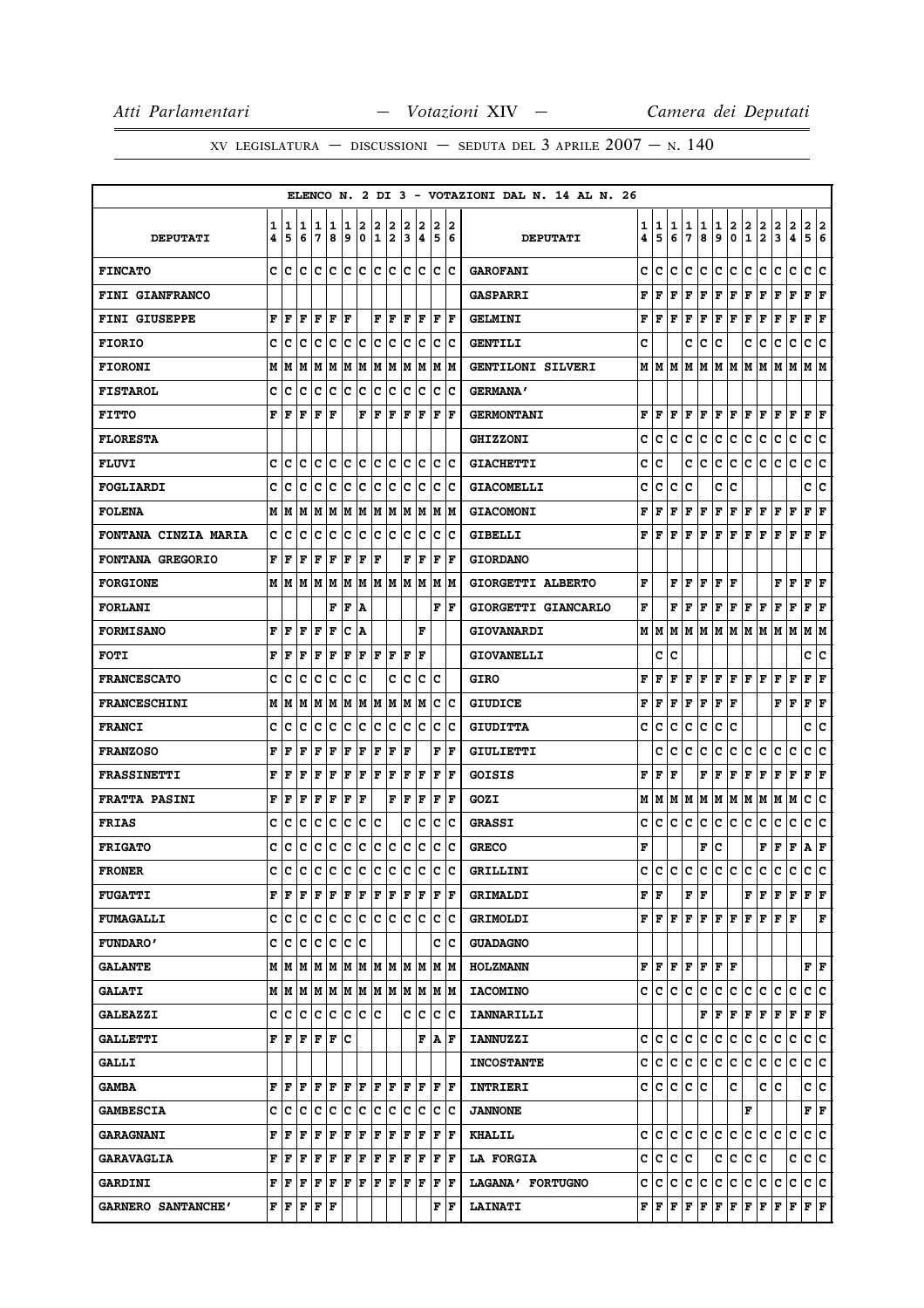|                             |        |        |        |                                           |        |         |            |        |        |        |                                    |        |                         | ELENCO N. 2 DI 3 - VOTAZIONI DAL N. 14 AL N. 26 |                        |                                                                                                             |        |        |        |        |        |                                              |                           |                                                                                                                                     |                              |                           |  |
|-----------------------------|--------|--------|--------|-------------------------------------------|--------|---------|------------|--------|--------|--------|------------------------------------|--------|-------------------------|-------------------------------------------------|------------------------|-------------------------------------------------------------------------------------------------------------|--------|--------|--------|--------|--------|----------------------------------------------|---------------------------|-------------------------------------------------------------------------------------------------------------------------------------|------------------------------|---------------------------|--|
| <b>DEPUTATI</b>             | 1<br>4 | 1<br>5 | 1<br>6 | 1<br>17                                   | 1<br>8 | 1<br>9  | 2<br>0     | 2<br>1 | 2<br>2 | 2<br>3 | 2<br>14                            | 2<br>5 | 12<br>6                 | <b>DEPUTATI</b>                                 | 1<br>4                 | 1<br>5                                                                                                      | 1<br>6 | 1<br>7 | 1<br>8 | 1<br>و | 2<br>0 | 2<br>1/2                                     | 2                         | 2<br>3                                                                                                                              | 2<br>$\overline{\mathbf{4}}$ | 2 2<br>5 6                |  |
| <b>FINCATO</b>              |        | c Ic   |        |                                           |        |         |            |        |        |        | c  c  c  c  c  c  c  c  c  c  c  c |        |                         | <b>GAROFANI</b>                                 | c                      | c                                                                                                           | c      | c      | IC.    | c c    |        | IC.                                          | lc.                       | с                                                                                                                                   | с                            | c c                       |  |
| FINI GIANFRANCO             |        |        |        |                                           |        |         |            |        |        |        |                                    |        |                         | <b>GASPARRI</b>                                 | F                      | F                                                                                                           | l F    | l F    | F      | F F    |        | F F                                          |                           | F                                                                                                                                   | F                            | F F                       |  |
| <b>FINI GIUSEPPE</b>        | F      | F      | F      | F                                         | l F    | F       |            | F      | l F    | ΙF     | l F                                | F      | ١F                      | <b>GELMINI</b>                                  | F                      | lF.                                                                                                         | l F    | l F    | l F    | FF     |        | F                                            | l F                       | F                                                                                                                                   | F                            | F<br>F                    |  |
| <b>FIORIO</b>               | c      | c      | Iс     | Iс                                        | Ιc     | c c     |            | c c    |        | Ιc     | Iс                                 |        | c c                     | <b>GENTILI</b>                                  | c                      |                                                                                                             |        | c      | с      | c      |        | c                                            | Iс                        | с                                                                                                                                   | c                            | c<br>١c                   |  |
| <b>FIORONI</b>              | М      | М      | M      | M  M  M  M  M  M                          |        |         |            |        |        | lм     | lм                                 |        | M  M                    | GENTILONI SILVERI                               | М                      | lМ                                                                                                          | lм     |        |        |        |        | IM IM IM IM IM                               |                           | M                                                                                                                                   | lм                           | M  M                      |  |
| <b>FISTAROL</b>             | c      | c      | c      | Iс                                        | c      | ∣c      | $ {\bf c}$ | c      | c      | Ιc     | Ιc                                 | Iс     | Ιc                      | <b>GERMANA'</b>                                 |                        |                                                                                                             |        |        |        |        |        |                                              |                           |                                                                                                                                     |                              |                           |  |
| <b>FITTO</b>                | F      | F      | l F    | F                                         | ΙF     |         | F          | F      | l F    | ١F     | l F                                | F      | lF                      | <b>GERMONTANI</b>                               | F                      | lF.                                                                                                         | ١F     | l F    | F      | F F    |        | F  F                                         |                           | F                                                                                                                                   | l F                          | F<br>F                    |  |
| <b>FLORESTA</b>             |        |        |        |                                           |        |         |            |        |        |        |                                    |        |                         | <b>GHIZZONI</b>                                 | c                      | c                                                                                                           | c      | c      | lc.    | с      | IC.    | с                                            | IС                        | c                                                                                                                                   | c                            | c<br>١c                   |  |
| <b>FLUVI</b>                | c      | c      | Ιc     | Iс                                        | c      | c c     |            | c c    |        |        | lc Ic                              |        | ic ic                   | <b>GIACHETTI</b>                                | с                      | c                                                                                                           |        | c      | c      | IС     | c      | lc.                                          | lc.                       | lc.                                                                                                                                 | c                            | c c                       |  |
| FOGLIARDI                   | c      | Iс     | c      | Iс                                        | Ιc     | ١c      | ΙC         | Ιc     | Iс     | ΙC     | Ιc                                 | IС     | ١c                      | <b>GIACOMELLI</b>                               | c                      | c                                                                                                           | c      | c      |        | c      | c      |                                              |                           |                                                                                                                                     |                              | c<br>c                    |  |
| <b>FOLENA</b>               |        | M   M  |        | M  M  M  M  M  M  M                       |        |         |            |        |        |        | M M                                |        | M   M                   | <b>GIACOMONI</b>                                | F                      | F                                                                                                           | F      | F      | F      | F F    |        | F F                                          |                           | F                                                                                                                                   | F                            | ${\bf F} \mid {\bf F}$    |  |
| <b>FONTANA CINZIA MARIA</b> | c      | c      | c      | Iс                                        | Ιc     | Iс      | ∣c         | Iс     | Iс     | Iс     | Ιc                                 | c      | Ιc                      | <b>GIBELLI</b>                                  | F                      | F                                                                                                           | F      | l F    | lF.    | F F    |        | F                                            | l F                       | F                                                                                                                                   | ΙF                           | F<br>١F                   |  |
| <b>FONTANA GREGORIO</b>     | F      | l F    | F      | lF                                        | F      | lF.     | F          | l F    |        | F      | lF.                                | l F    | ١F                      | <b>GIORDANO</b>                                 |                        |                                                                                                             |        |        |        |        |        |                                              |                           |                                                                                                                                     |                              |                           |  |
| <b>FORGIONE</b>             |        | MIM    |        | M   M   M   M                             |        |         |            |        |        |        | M  M  M  M  M  M  M                |        |                         | GIORGETTI ALBERTO                               | F                      |                                                                                                             | F      | l F    | F      | F   F  |        |                                              |                           | F                                                                                                                                   | F                            | F<br>F                    |  |
| <b>FORLANI</b>              |        |        |        |                                           | F      | l F     | ١A         |        |        |        |                                    |        | F F                     | GIORGETTI GIANCARLO                             | F                      |                                                                                                             |        | FIF    | ١F     |        |        | F F F F                                      |                           | F                                                                                                                                   | F                            | F<br>ΙF                   |  |
| <b>FORMISANO</b>            | F      | F      | l F    | lF                                        | F      | Ιc      | ١A         |        |        |        | F                                  |        |                         | GIOVANARDI                                      |                        |                                                                                                             |        |        |        |        |        |                                              |                           | M   M   M   M   M   M   M   M   M   M                                                                                               |                              | M  M                      |  |
| <b>FOTI</b>                 | F      | ١F     | F      | ١F                                        | ΙF     | F       | l F        | IF IF  |        | ١F     | ١F                                 |        |                         | <b>GIOVANELLI</b>                               |                        | c                                                                                                           | c      |        |        |        |        |                                              |                           |                                                                                                                                     |                              | c<br>c                    |  |
| <b>FRANCESCATO</b>          | c      | c      | c      | Iс                                        | Ιc     | Ιc      | Ιc         |        | c      | Iс     |                                    | c c    |                         | GIRO                                            | F                      | F                                                                                                           | F      | lF.    |        |        |        | $\bf  F F F F F$                             |                           | F                                                                                                                                   | F                            | ${\bf F} \mid {\bf F}$    |  |
| <b>FRANCESCHINI</b>         | М      | М      | M      |                                           | MM     | lм      |            | M M    | lМ     | M      | lм                                 | Iс     | Ιc                      | <b>GIUDICE</b>                                  | F                      | F                                                                                                           | F      | l F    | F      | F      | F      |                                              |                           | F                                                                                                                                   | l F                          | F<br>F                    |  |
| <b>FRANCI</b>               | c      | c      | lc     | Iс                                        | Iс     | lc.     | ١c         | lc.    | Ιc     | lc.    | Iс                                 |        | c c                     | <b>GIUDITTA</b>                                 | c                      | c                                                                                                           | c      | c      | lc.    | IC.    | lc     |                                              |                           |                                                                                                                                     |                              | c<br> c                   |  |
| <b>FRANZOSO</b>             | F      | F      | l F    | F                                         | F      | F       | F          | F      | F      | l F    |                                    | F      | lF                      | <b>GIULIETTI</b>                                |                        | c                                                                                                           | c      | c      | ١c     | c      | IС     | c                                            | c                         | c                                                                                                                                   | c                            | ١c<br>c                   |  |
| <b>FRASSINETTI</b>          | F      | F      | l F    | F                                         | l F    | F       | ΙF         | F      | lF.    | F      | l F                                | ΙF     | F                       | GOISIS                                          | F                      | F                                                                                                           | F      |        | F      | ΙF     | F      | F                                            | F                         | F                                                                                                                                   | $\mathbf F$                  | F<br>ΙF                   |  |
| <b>FRATTA PASINI</b>        | F      | F      | F      | F                                         | F      | F       | ΙF         |        | F      | ΙF     | F                                  | F      | ١F                      | GOZI                                            | м                      | M  M  M  M  M  M  M  M                                                                                      |        |        |        |        |        |                                              |                           | MM                                                                                                                                  |                              | c<br>١c                   |  |
| <b>FRIAS</b>                | c      | c      | c      | lc                                        | Iс     | Iс      | Ιc         | Ιc     |        | c      | Iс                                 | lc.    | Ιc                      | <b>GRASSI</b>                                   | c                      | c                                                                                                           | c      | c      | Iс     | c      | IC.    | c                                            | c                         | с                                                                                                                                   | с                            | c<br>c                    |  |
| <b>FRIGATO</b>              | c      | c      | c      | c                                         | c      | c       | c          | c c    |        |        | c c                                |        | c c                     | <b>GRECO</b>                                    | F                      |                                                                                                             |        |        | F      | Ιc     |        |                                              | F                         | F                                                                                                                                   | F                            | A F                       |  |
| <b>FRONER</b>               | C      | C      | C      | c c c c c c c c                           |        |         |            |        |        |        | c                                  | c      | lc                      | GRILLINI                                        | c                      |                                                                                                             |        |        |        |        |        |                                              | c  c  c  c  c  c  c  c  c |                                                                                                                                     | c.                           | c c                       |  |
| <b>FUGATTI</b>              |        | FF     | ١F     | F F F F                                   |        |         |            | F F    |        |        | F F                                |        | F  F                    | <b>GRIMALDI</b>                                 | ${\bf F} \mid {\bf F}$ |                                                                                                             |        | FF     |        |        |        |                                              |                           | F F F F                                                                                                                             |                              | $ {\bf F}  {\bf F} $      |  |
| <b>FUMAGALLI</b>            |        |        |        |                                           |        |         |            |        |        |        |                                    |        |                         | <b>GRIMOLDI</b>                                 |                        |                                                                                                             |        |        |        |        |        |                                              |                           | ${\bf F}\, \,{\bf F}\, \,{\bf F}\, \,{\bf F}\, \,{\bf F}\, \,{\bf F}\, \,{\bf F}\, \,{\bf F}\, \,{\bf F}\, \,{\bf F}\, \,{\bf F}\,$ |                              | $\mathbf F$               |  |
| <b>FUNDARO'</b>             |        | c c    | lc.    | Iс                                        | Iс     | Ιc      | ١c         |        |        |        |                                    |        | c Ic                    | <b>GUADAGNO</b>                                 |                        |                                                                                                             |        |        |        |        |        |                                              |                           |                                                                                                                                     |                              |                           |  |
| <b>GALANTE</b>              |        |        |        |                                           |        |         |            |        |        |        |                                    |        |                         | <b>HOLZMANN</b>                                 |                        | ${\bf F}$ $\bf [F]$ ${\bf F}$ $\bf [F]$ ${\bf F}$ $\bf [F]$                                                 |        |        |        |        |        |                                              |                           |                                                                                                                                     |                              | $\mathbf{F}   \mathbf{F}$ |  |
| <b>GALATI</b>               |        |        |        |                                           |        |         |            |        |        |        |                                    |        |                         | <b>IACOMINO</b>                                 |                        | C C                                                                                                         | IC.    | lc.    | C      |        |        | c c c c                                      |                           | c                                                                                                                                   | c                            | c c                       |  |
| <b>GALEAZZI</b>             | c      | c      | lc.    | c c                                       |        | c c c   |            |        |        |        | C C                                |        | $ {\bf C} \;   {\bf C}$ | <b>IANNARILLI</b>                               |                        |                                                                                                             |        |        |        |        |        | $\bf{F}$ $\bf{F}$ $\bf{F}$ $\bf{F}$ $\bf{F}$ |                           | F                                                                                                                                   | F                            | $ {\bf F}  {\bf F} $      |  |
| <b>GALLETTI</b>             |        | FF     | F      | F                                         | ΙF     | lc      |            |        |        |        | F                                  |        | A F                     | <b>IANNUZZI</b>                                 | c                      | lc.                                                                                                         | lc.    | lc.    | lc.    | ∣c     | c      | lc.                                          | lc.                       | с                                                                                                                                   | c                            | c c                       |  |
| <b>GALLI</b>                |        |        |        |                                           |        |         |            |        |        |        |                                    |        |                         | <b>INCOSTANTE</b>                               |                        | c c c c c c c c c                                                                                           |        |        |        |        |        |                                              | c                         | с                                                                                                                                   | c                            | c c                       |  |
| <b>GAMBA</b>                |        | F F    | ΙF     | ١F                                        | ١F     | F F F F |            |        |        |        | IF IF                              |        | IF IF                   | INTRIERI                                        |                        | c c c c c                                                                                                   |        |        |        |        | c      |                                              | c  c                      |                                                                                                                                     |                              | c c                       |  |
| <b>GAMBESCIA</b>            |        | c  c   | ١c     | lc                                        | Iс     | lc.     | lc.        | ΙC     | Iс     | Ιc     | Ιc                                 |        | $ {\bf c} \;   {\bf c}$ | <b>JANNONE</b>                                  |                        |                                                                                                             |        |        |        |        |        | F                                            |                           |                                                                                                                                     |                              | $\mathbf{F}   \mathbf{F}$ |  |
| <b>GARAGNANI</b>            |        | FF     | F      | F F                                       |        | F F     |            | F F    |        |        | F F                                |        | F  F                    | <b>KHALIL</b>                                   |                        |                                                                                                             |        |        |        |        |        |                                              |                           | c c c c c c c c c c c c c                                                                                                           |                              | c c                       |  |
| <b>GARAVAGLIA</b>           |        | FF     | F      | F                                         | F      | F       | F          | F      | F      |        | F  F                               | F      | ΙF                      | <b>LA FORGIA</b>                                | c                      | ∣c.                                                                                                         |        | c c    |        | с      | c      | C                                            | Ιc                        |                                                                                                                                     | c                            | c<br>Iс                   |  |
| <b>GARDINI</b>              |        | FF     | F      | F F F F                                   |        |         |            | F F    |        |        | F F                                |        | F  F                    | LAGANA' FORTUGNO                                | c                      | c c                                                                                                         |        | c c    |        | c c    |        | c.                                           | lc.                       | c                                                                                                                                   | c                            | c c                       |  |
| GARNERO SANTANCHE'          |        |        |        | ${\bf F}$ $\bf F$ $\bf F$ $\bf F$ $\bf F$ |        |         |            |        |        |        |                                    |        | F F                     | <b>LAINATI</b>                                  |                        | ${\bf F}\, \,{\bf F}\, \,{\bf F}\, \,{\bf F}\, \,{\bf F}\, \,{\bf F}\, \,{\bf F}\, \,{\bf F}\, \,{\bf F}\,$ |        |        |        |        |        |                                              |                           | F                                                                                                                                   | F                            | F F                       |  |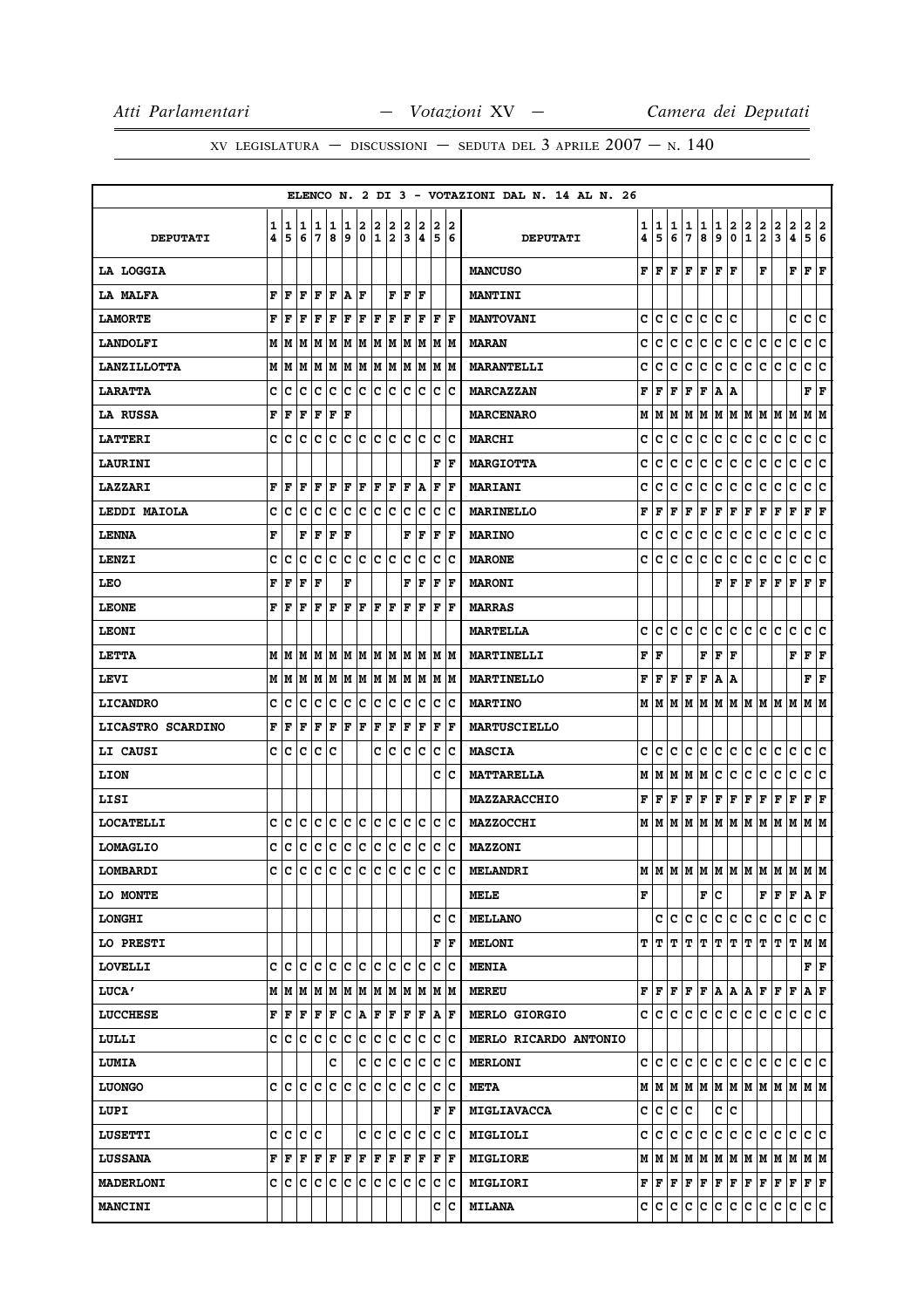|                    |        |        |         |                |             |        |        |        |                   |                             |                                                                             |        |                        | ELENCO N. 2 DI 3 - VOTAZIONI DAL N. 14 AL N. 26 |        |        |        |                     |                                                                                                                                                                                                                                                                                                           |        |                                   |     |               |                              |                                           |                           |     |
|--------------------|--------|--------|---------|----------------|-------------|--------|--------|--------|-------------------|-----------------------------|-----------------------------------------------------------------------------|--------|------------------------|-------------------------------------------------|--------|--------|--------|---------------------|-----------------------------------------------------------------------------------------------------------------------------------------------------------------------------------------------------------------------------------------------------------------------------------------------------------|--------|-----------------------------------|-----|---------------|------------------------------|-------------------------------------------|---------------------------|-----|
| <b>DEPUTATI</b>    | 1<br>4 | 1<br>5 | 1<br>6  | 1<br>7         | 1<br>8      | 1<br>9 | 2<br>0 | 2<br>1 | 2<br>$\mathbf{2}$ | 2<br>3                      | 2<br>4                                                                      | 2<br>5 | 2<br>6                 | <b>DEPUTATI</b>                                 | 1<br>4 | 1<br>5 | 1<br>6 | 1<br>$\overline{7}$ | 1<br>8                                                                                                                                                                                                                                                                                                    | 1<br>و | 2<br> 0 1 2                       | 2   | 2             | 2<br>$\overline{\mathbf{3}}$ | 2<br>$\overline{\bf{4}}$                  | 2 2<br>5                  | 6   |
| LA LOGGIA          |        |        |         |                |             |        |        |        |                   |                             |                                                                             |        |                        | <b>MANCUSO</b>                                  |        |        |        |                     | ${\bf F}$ $\bf [F]$ $\bf [F]$ $\bf [F]$ $\bf [F]$                                                                                                                                                                                                                                                         |        |                                   |     | F             |                              | ${\bf F} \,   \, {\bf F} \,   \, {\bf F}$ |                           |     |
| LA MALFA           | F      | F      | F       | F              | F           | A F    |        |        |                   | ${\bf F} \parallel {\bf F}$ | lF                                                                          |        |                        | <b>MANTINI</b>                                  |        |        |        |                     |                                                                                                                                                                                                                                                                                                           |        |                                   |     |               |                              |                                           |                           |     |
| <b>LAMORTE</b>     | F      | F      | F       | F              | F           | F      | F      | F      | F                 | F                           | F                                                                           | F      | ١F                     | <b>MANTOVANI</b>                                | с      | с      | с      | c                   | c                                                                                                                                                                                                                                                                                                         | c      | ١c                                |     |               |                              | c                                         | c                         | lc. |
| <b>LANDOLFI</b>    | м      | M      | M       | M              | M           |        |        |        |                   |                             | M  M  M  M  M  M  M  M                                                      |        |                        | <b>MARAN</b>                                    | c      | с      | c      | с                   | c                                                                                                                                                                                                                                                                                                         |        |                                   |     | c c c c c     |                              | c                                         | c c                       |     |
| <b>LANZILLOTTA</b> | М      | M      | М       | М              | М           | М      | M      |        |                   |                             | M  M  M  M  M  M                                                            |        |                        | <b>MARANTELLI</b>                               | c      | c      | c      | с                   | c                                                                                                                                                                                                                                                                                                         | с      | IС                                | lc. | Iс            | с                            | c                                         | c                         | c   |
| <b>LARATTA</b>     | c      | c      | c       | c              | c           | c      | c      |        |                   |                             | $ {\mathbf c}\, {\mathbf c}\, {\mathbf c}\, {\mathbf c}\, {\mathbf c}\, $ c |        |                        | <b>MARCAZZAN</b>                                | F      | F      | F      | F                   | F                                                                                                                                                                                                                                                                                                         | A  A   |                                   |     |               |                              |                                           | $\mathbf{F}   \mathbf{F}$ |     |
| LA RUSSA           | F      | F      | F       | F              | F           | F      |        |        |                   |                             |                                                                             |        |                        | <b>MARCENARO</b>                                | М      | M      | lМ     |                     | M   M   M   M   M   M   M                                                                                                                                                                                                                                                                                 |        |                                   |     |               |                              |                                           | M M                       |     |
| <b>LATTERI</b>     | C      | c      | c       | c              | c           |        | C C    |        |                   |                             | c c c c                                                                     |        | c c                    | <b>MARCHI</b>                                   | c      | c      | c      | c                   | lc.                                                                                                                                                                                                                                                                                                       | lc.    | c                                 | ∣c  | IC.           | С                            | lc.                                       | c c                       |     |
| LAURINI            |        |        |         |                |             |        |        |        |                   |                             |                                                                             |        | F  F                   | <b>MARGIOTTA</b>                                | c      | с      | c      | с                   | c                                                                                                                                                                                                                                                                                                         | c      | ∣c                                | c   | c             | с                            | lc.                                       | c c                       |     |
| LAZZARI            | F      | F      | F       | F              | F           | F      | F      |        | F F               | F                           | ١A                                                                          | F      | ΙF                     | <b>MARIANI</b>                                  | c      | c      | c      | c                   | c                                                                                                                                                                                                                                                                                                         | c      | c                                 | c   | Iс            | с                            | с                                         | c                         | Iс  |
| LEDDI MAIOLA       | c      | c      | с       | c              | с           | с      | с      |        | c c               |                             | c c                                                                         |        | $ {\bf C} {\bf C}$     | <b>MARINELLO</b>                                | F      | F      | F      | F                   | F                                                                                                                                                                                                                                                                                                         | F F    |                                   | F   | F             | F                            | F                                         | $ {\bf F}  {\bf F} $      |     |
| <b>LENNA</b>       | F      |        | F       | F              | F           | F      |        |        |                   | F                           | F                                                                           | F      | ١F                     | <b>MARINO</b>                                   | c      | с      | c      | c                   | c                                                                                                                                                                                                                                                                                                         | c      | ∣c                                | c   | c             | с                            | c                                         | c                         | c   |
| <b>LENZI</b>       | c      | c      | c       | c              | c           | c      | c      |        | c c               |                             | $ {\rm c}\, {\rm c}\,$                                                      |        | c c                    | <b>MARONE</b>                                   | c      | c      | c      | c                   | lc.                                                                                                                                                                                                                                                                                                       | lc.    | c                                 | c   | c             | c                            | C                                         | c c                       |     |
| <b>LEO</b>         | F      | F      | F       | F              |             | F      |        |        |                   | F                           | F                                                                           |        | $ {\bf F}  {\bf F} $   | <b>MARONI</b>                                   |        |        |        |                     |                                                                                                                                                                                                                                                                                                           |        | $\mathbf{F} \parallel \mathbf{F}$ | F F |               | F                            | F                                         | $ {\bf F}  {\bf F} $      |     |
| <b>LEONE</b>       | F      | F      | F       | F              | F           | F      | F      | F      | F                 | F                           | F                                                                           | F      | ١F                     | <b>MARRAS</b>                                   |        |        |        |                     |                                                                                                                                                                                                                                                                                                           |        |                                   |     |               |                              |                                           |                           |     |
| <b>LEONI</b>       |        |        |         |                |             |        |        |        |                   |                             |                                                                             |        |                        | <b>MARTELLA</b>                                 | с      | c      | lc.    | lc.                 | c                                                                                                                                                                                                                                                                                                         |        |                                   |     | c  c  c  c  c |                              | lc.                                       | c c                       |     |
| LETTA              | М      | lМ     | M       | lМ             | lм          |        |        |        |                   |                             | M  M  M  M  M  M  M  M                                                      |        |                        | MARTINELLI                                      | F      | l F    |        |                     | F                                                                                                                                                                                                                                                                                                         | lF.    | ١F                                |     |               |                              | F                                         | $ {\bf F}  {\bf F} $      |     |
| LEVI               | М      | M      | M       |                | M M         |        |        |        |                   |                             | M  M  M  M  M  M  M  M                                                      |        |                        | <b>MARTINELLO</b>                               | F      | F      |        | $F$ $\bf{F}$        | F                                                                                                                                                                                                                                                                                                         | A   A  |                                   |     |               |                              |                                           | FF                        |     |
| <b>LICANDRO</b>    | c      | c      | c       | с              | c           | с      | с      | c      | c                 | c                           | ∣c                                                                          | c      | Ιc                     | <b>MARTINO</b>                                  | М      |        |        |                     | M  M  M  M  M  M  M  M  M  M                                                                                                                                                                                                                                                                              |        |                                   |     |               |                              |                                           | M  M                      |     |
| LICASTRO SCARDINO  | F      | F      | F       | F              | F           | F F    |        | F      | $ {\bf F} $       | F                           | $ {\bf F} $                                                                 |        | F   F                  | <b>MARTUSCIELLO</b>                             |        |        |        |                     |                                                                                                                                                                                                                                                                                                           |        |                                   |     |               |                              |                                           |                           |     |
| LI CAUSI           | c      | c      | c       | c              | c           |        |        |        | c Ic              |                             | c c                                                                         |        | c c                    | <b>MASCIA</b>                                   | c      | с      | c      | c                   | lc.                                                                                                                                                                                                                                                                                                       | c c    |                                   | IC. | c             | с                            | c                                         | c c                       |     |
| LION               |        |        |         |                |             |        |        |        |                   |                             |                                                                             |        | c Ic                   | <b>MATTARELLA</b>                               | М      | lм     |        |                     | M   M   M                                                                                                                                                                                                                                                                                                 | c      | c                                 | c   | c             | lc.                          | lc.                                       | c c                       |     |
| LISI               |        |        |         |                |             |        |        |        |                   |                             |                                                                             |        |                        | <b>MAZZARACCHIO</b>                             | F      |        |        |                     | F F F F F F F F                                                                                                                                                                                                                                                                                           |        |                                   |     |               | F F                          |                                           | $ {\bf F}  {\bf F} $      |     |
| <b>LOCATELLI</b>   | c      | c      | c       | с              | c           |        |        |        |                   |                             | C C C C C C C C                                                             |        |                        | <b>MAZZOCCHI</b>                                | М      | IМ     | lМ     |                     | M  M  M  M  M  M  M  M  M  M                                                                                                                                                                                                                                                                              |        |                                   |     |               |                              |                                           |                           |     |
| <b>LOMAGLIO</b>    | c      | c      | c       | с              | c.          | c.     | c.     |        |                   |                             | $ {\mathbf c}\, {\mathbf c}\, {\mathbf c}\, {\mathbf c}\, {\mathbf c}\, $ c |        |                        | <b>MAZZONI</b>                                  |        |        |        |                     |                                                                                                                                                                                                                                                                                                           |        |                                   |     |               |                              |                                           |                           |     |
| LOMBARDI           | C      | c      | c       | $\mathsf{c}$   |             |        |        |        |                   |                             | c c c c c c c c c c                                                         |        |                        | <b>MELANDRI</b>                                 |        |        |        |                     | $\mathbf{M}$   $\mathbf{M}$   $\mathbf{M}$   $\mathbf{M}$   $\mathbf{M}$   $\mathbf{M}$   $\mathbf{M}$   $\mathbf{M}$   $\mathbf{M}$   $\mathbf{M}$   $\mathbf{M}$   $\mathbf{M}$   $\mathbf{M}$   $\mathbf{M}$   $\mathbf{M}$   $\mathbf{M}$   $\mathbf{M}$   $\mathbf{M}$   $\mathbf{M}$   $\mathbf{M}$ |        |                                   |     |               |                              |                                           |                           |     |
| LO MONTE           |        |        |         |                |             |        |        |        |                   |                             |                                                                             |        |                        | MELE                                            | F      |        |        |                     |                                                                                                                                                                                                                                                                                                           | F C    |                                   |     | FF            |                              | F                                         | A F                       |     |
| <b>LONGHI</b>      |        |        |         |                |             |        |        |        |                   |                             |                                                                             |        | c  c                   | <b>MELLANO</b>                                  |        | c      |        | c c                 | c c c c c c                                                                                                                                                                                                                                                                                               |        |                                   |     |               |                              | lc.                                       | c c                       |     |
| LO PRESTI          |        |        |         |                |             |        |        |        |                   |                             |                                                                             |        | ${\bf F} \mid {\bf F}$ | <b>MELONI</b>                                   |        | T IT.  |        |                     | p   p   p   p   p   p   p   p                                                                                                                                                                                                                                                                             |        |                                   |     |               |                              |                                           | M M                       |     |
| <b>LOVELLI</b>     |        |        |         |                |             |        |        |        |                   |                             |                                                                             |        |                        | <b>MENIA</b>                                    |        |        |        |                     |                                                                                                                                                                                                                                                                                                           |        |                                   |     |               |                              |                                           | $\mathbf{F}   \mathbf{F}$ |     |
| LUCA'              |        | MM     | M       | M              | М           |        |        |        |                   |                             | M  M  M  M  M  M  M  M                                                      |        |                        | <b>MEREU</b>                                    | F      | F      | F      | F                   | F                                                                                                                                                                                                                                                                                                         |        | A A R F                           |     |               | lF.                          | F                                         | A F                       |     |
| <b>LUCCHESE</b>    | F      | F      | F       | F              | F           |        |        |        |                   |                             | C A F F F F                                                                 |        | $ {\bf A} $ ${\bf F}$  | <b>MERLO GIORGIO</b>                            |        | c  c   | lc.    | lc.                 | c                                                                                                                                                                                                                                                                                                         |        | c c c c                           |     |               | IC.                          | С                                         | c c                       |     |
| LULLI              | c      | c      | c       | c              | $\mathbf C$ | c      | c      |        |                   |                             | c  c  c  c  c  c                                                            |        |                        | MERLO RICARDO ANTONIO                           |        |        |        |                     |                                                                                                                                                                                                                                                                                                           |        |                                   |     |               |                              |                                           |                           |     |
| <b>LUMIA</b>       |        |        |         |                | C           |        |        |        |                   |                             | c c c c c c c c                                                             |        |                        | <b>MERLONI</b>                                  |        | c c    |        |                     | c  c  c  c  c  c  c  c  c  c  c  c                                                                                                                                                                                                                                                                        |        |                                   |     |               |                              |                                           |                           |     |
| <b>LUONGO</b>      | c      |        | c c     | $\overline{c}$ |             |        |        |        |                   |                             | c  c  c  c  c  c  c  c  c                                                   |        |                        | <b>META</b>                                     |        |        |        |                     | $M$   $M$   $M$   $M$   $M$   $M$   $M$   $M$   $M$   $M$   $M$   $M$                                                                                                                                                                                                                                     |        |                                   |     |               |                              |                                           |                           |     |
| LUPI               |        |        |         |                |             |        |        |        |                   |                             |                                                                             |        | F  F                   | <b>MIGLIAVACCA</b>                              | c      | c      | c      | c                   |                                                                                                                                                                                                                                                                                                           | c c    |                                   |     |               |                              |                                           |                           |     |
| <b>LUSETTI</b>     |        |        | c c c c |                |             |        |        |        |                   |                             | c c c c c c c c                                                             |        |                        | MIGLIOLI                                        | c      | IC.    |        |                     | c c c c c c c c c c c                                                                                                                                                                                                                                                                                     |        |                                   |     |               |                              |                                           |                           |     |
| <b>LUSSANA</b>     | F      | F      | F       | F              | F           | F      | F      | Г      |                   |                             | F   F   F   F                                                               |        |                        | <b>MIGLIORE</b>                                 | М      |        |        |                     | M  M  M  M  M  M  M  M  M  M  M  M                                                                                                                                                                                                                                                                        |        |                                   |     |               |                              |                                           |                           |     |
| <b>MADERLONI</b>   |        |        | c c c   | c              | c           | c      | с      |        |                   |                             | c c c c                                                                     |        | c c                    | <b>MIGLIORI</b>                                 |        |        |        |                     | ${\bf F}\, \, {\bf F}\, \, {\bf F}\, \, {\bf F}\, \, {\bf F}\, \, {\bf F}\, \, {\bf F}\, \, {\bf F}\, \, {\bf F}\, \, {\bf F}\, \, {\bf F}\, \,$                                                                                                                                                          |        |                                   |     |               |                              |                                           | F F                       |     |
| <b>MANCINI</b>     |        |        |         |                |             |        |        |        |                   |                             |                                                                             |        | c c                    | <b>MILANA</b>                                   |        |        |        |                     | C C C C C C C C C C C                                                                                                                                                                                                                                                                                     |        |                                   |     |               |                              |                                           | c c                       |     |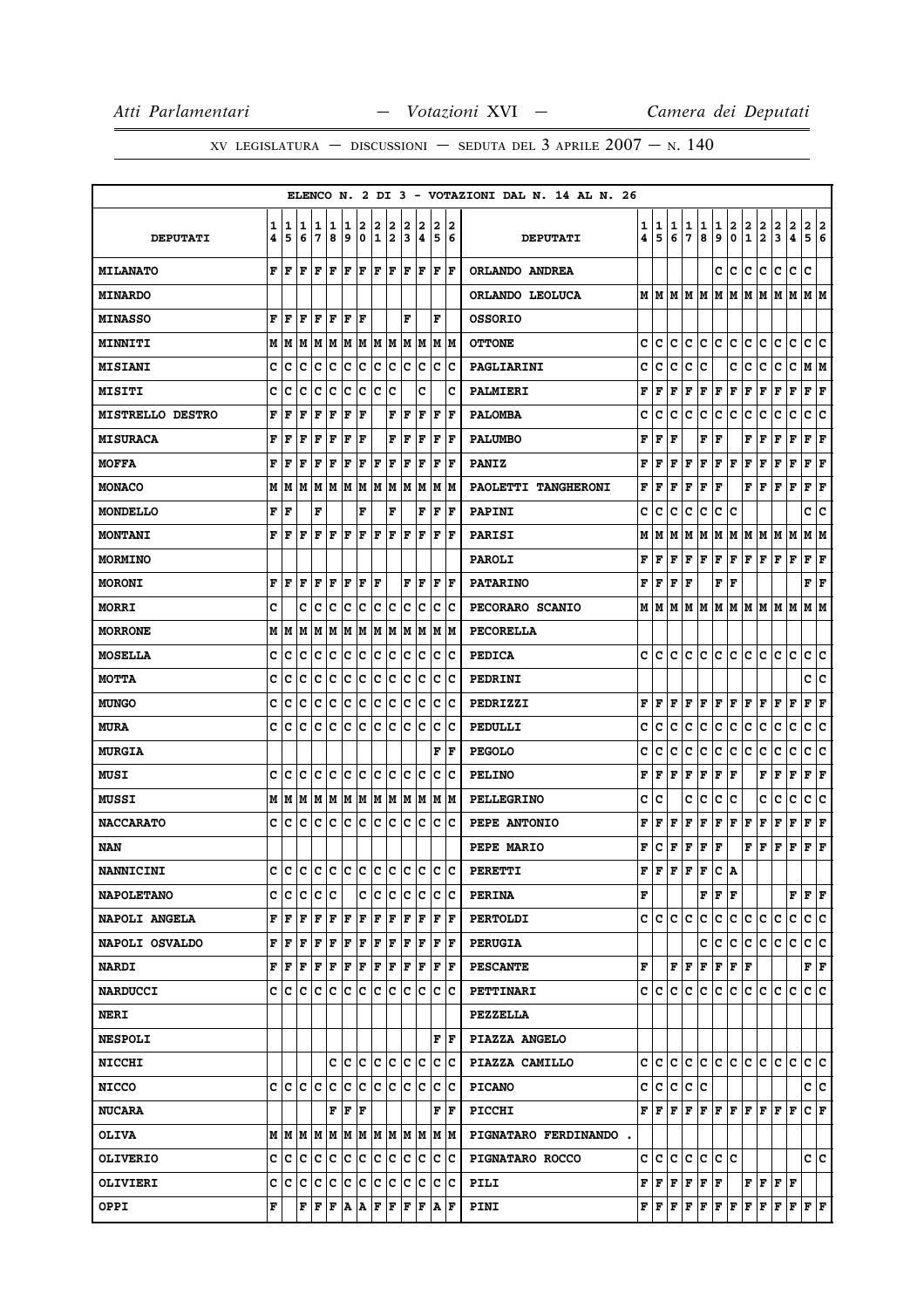|                         |        |        |                       |                 |        |        |        |                     |               |        |             |                                                                       |                             | ELENCO N. 2 DI 3 - VOTAZIONI DAL N. 14 AL N. 26 |        |           |        |             |                                                                                                                             |             |                |                   |                                                                                                                                     |         |                     |                       |     |
|-------------------------|--------|--------|-----------------------|-----------------|--------|--------|--------|---------------------|---------------|--------|-------------|-----------------------------------------------------------------------|-----------------------------|-------------------------------------------------|--------|-----------|--------|-------------|-----------------------------------------------------------------------------------------------------------------------------|-------------|----------------|-------------------|-------------------------------------------------------------------------------------------------------------------------------------|---------|---------------------|-----------------------|-----|
| <b>DEPUTATI</b>         | 1<br>4 | 1<br>5 | 1<br>6                | 1<br>17         | 1<br>8 | 1<br>9 | 2<br>0 | 2<br>$\overline{1}$ | 2<br>2        | 2<br>3 | 2<br> 4     | 2<br>5                                                                | 2<br>6                      | <b>DEPUTATI</b>                                 | 1<br>4 | 1<br>5    | 1<br>6 | 1<br>7      | 1<br>8                                                                                                                      | 1<br>9      | 2<br>$\pmb{0}$ | 2<br>$\mathbf{1}$ | $\frac{2}{2}$                                                                                                                       | 2<br>3  | $\overline{a}$<br>4 | 2 2<br>5 6            |     |
| <b>MILANATO</b>         | F      | ١F     | F                     | lF.             | ΙF     | lF.    | lF.    | F                   | F             | lF.    | lF.         | l F                                                                   | lF.                         | ORLANDO ANDREA                                  |        |           |        |             |                                                                                                                             | c           | lc.            | c                 | c                                                                                                                                   | lc.     | c                   | c                     |     |
| <b>MINARDO</b>          |        |        |                       |                 |        |        |        |                     |               |        |             |                                                                       |                             | ORLANDO LEOLUCA                                 |        |           |        |             |                                                                                                                             |             |                |                   | $M$   $M$   $M$   $M$   $M$   $M$   $M$   $M$   $M$   $M$   $M$   $M$                                                               |         |                     |                       |     |
| <b>MINASSO</b>          | F      | F      | F                     | F               | ΙF     | F      | ΙF     |                     |               | F      |             | F                                                                     |                             | <b>OSSORIO</b>                                  |        |           |        |             |                                                                                                                             |             |                |                   |                                                                                                                                     |         |                     |                       |     |
| <b>MINNITI</b>          |        |        | M   M   M   M   M     |                 |        |        |        |                     | M   M   M   M |        | M M         |                                                                       | M  M                        | <b>OTTONE</b>                                   | c      | lc.       | c      | c           | lc.                                                                                                                         | c c         |                | c.                | lc.                                                                                                                                 | c       | c                   | c c                   |     |
| <b>MISIANI</b>          | c      | Iс     | c                     | c               | c      | c      | c      | c                   | c             | c      | c           | c                                                                     | c                           | PAGLIARINI                                      | c      | c         | c      | c           | c                                                                                                                           |             | c              | c                 | c                                                                                                                                   | c       | $\mathbf C$         | MM                    |     |
| <b>MISITI</b>           | C      | c      | c                     | lc              | lc     | c      | lc.    | lc                  | lc            |        | C           |                                                                       | c                           | <b>PALMIERI</b>                                 | F      | F         | F      | F           | F                                                                                                                           | F           | F              | F                 | F                                                                                                                                   | F       | F                   | ${\bf F}$ ${\bf F}$   |     |
| <b>MISTRELLO DESTRO</b> | F      | F      | F                     | F               | F      | F      | ΙF     |                     | F             | F      | F           | F                                                                     | l F                         | <b>PALOMBA</b>                                  | c      | c         | с      | c           | с                                                                                                                           | c           | c              | с                 | с                                                                                                                                   | с       | с                   | с                     | lc. |
| <b>MISURACA</b>         | F      | l F    | l F                   | F               | F      | F      | F      |                     | F             | F      | F           | F                                                                     | l F                         | <b>PALUMBO</b>                                  | F      | F         | F      |             | F                                                                                                                           | F           |                | F                 | F                                                                                                                                   | F       | F                   | F                     | F   |
| <b>MOFFA</b>            | F      | F      | F                     | F               | F      | F      | F      | F                   | F             | F      | F           | F                                                                     | F                           | <b>PANIZ</b>                                    | F      | F         | F      | F           | F                                                                                                                           | F           | F              | F                 | $\mathbf{F}$                                                                                                                        | F       | F                   | F F                   |     |
| <b>MONACO</b>           |        | MIM    | lМ                    | M               | MM     |        |        |                     | M   M   M     | lм     | M           | M                                                                     | lМ                          | PAOLETTI TANGHERONI                             | F      | F         | F      | F           | F                                                                                                                           | F           |                | F                 | F                                                                                                                                   | F       | F                   | F                     | F   |
| <b>MONDELLO</b>         | F      | F      |                       | F               |        |        | F      |                     | F             |        | F           | F                                                                     | F                           | PAPINI                                          | c      | c         | c      | c           | с                                                                                                                           | с           | c              |                   |                                                                                                                                     |         |                     | c  c                  |     |
| <b>MONTANI</b>          | F      | F      | F                     | F               | l F    | F      | l F    | l F                 | F             | l F    | ΙF          | F                                                                     | l F                         | PARISI                                          | М      | М         | М      | м           | lм                                                                                                                          | М           | M              | M                 | M                                                                                                                                   | M M     |                     | M   M                 |     |
| <b>MORMINO</b>          |        |        |                       |                 |        |        |        |                     |               |        |             |                                                                       |                             | <b>PAROLI</b>                                   | F      | F         | F      | $\mathbf F$ | F                                                                                                                           | F           | F              | F                 | F                                                                                                                                   | F F     |                     | $ {\bf F}  {\bf F} $  |     |
| <b>MORONI</b>           | F      | l F    | F                     | l F             | ΙF     | F      | F      | ١F                  |               | F      | F           | F                                                                     | ١F                          | <b>PATARINO</b>                                 | F      | F         | F      | F           |                                                                                                                             | F           | F              |                   |                                                                                                                                     |         |                     | FF                    |     |
| <b>MORRI</b>            | C      |        | c                     | Iс              | Ιc     | Ιc     | c      | c                   | c             | c      | lc.         | $\mathbf C$                                                           | Ιc                          | PECORARO SCANIO                                 | м      | IМ        | М      | М           | M                                                                                                                           | lм          |                |                   | MMMMM                                                                                                                               |         | lМ                  | МM                    |     |
| <b>MORRONE</b>          |        | M   M  | M                     |                 |        |        |        |                     |               |        |             | M  M  M  M  M  M  M  M  M  M                                          |                             | <b>PECORELLA</b>                                |        |           |        |             |                                                                                                                             |             |                |                   |                                                                                                                                     |         |                     |                       |     |
| <b>MOSELLA</b>          | c      | с      | c                     | Iс              | c      | Iс     | c      | Ιc                  | c             | c      | Ιc          | с                                                                     | Ιc                          | <b>PEDICA</b>                                   | c      | c         | c      | c           | с                                                                                                                           | с           | с              | c                 | c                                                                                                                                   | c       | c                   | c                     | c   |
| <b>MOTTA</b>            | c      | c      | c                     | c               | c      | c      | c      | c                   | c             | c      | c           | c                                                                     | Ιc                          | PEDRINI                                         |        |           |        |             |                                                                                                                             |             |                |                   |                                                                                                                                     |         |                     | c c                   |     |
| <b>MUNGO</b>            | C      | c      | c                     | Iс              | c      | c      | c      | lc                  | c             | lc.    | Ιc          | c                                                                     | Ιc                          | PEDRIZZI                                        | F      | F         | F      | F           | F                                                                                                                           | $\mathbf F$ | F              | F                 | F                                                                                                                                   | F       | F                   | F                     | F   |
| <b>MURA</b>             | C      | ١c     | ١c                    | Iс              | Ιc     | Ιc     | lc.    | Ιc                  | Ιc            | lc.    | Iс          | c                                                                     | Ιc                          | PEDULLI                                         | c      | c         | c      | c           | c                                                                                                                           | c           | c              | c                 | c                                                                                                                                   | c       | c                   | c                     | ١c  |
| <b>MURGIA</b>           |        |        |                       |                 |        |        |        |                     |               |        |             | F                                                                     | F                           | <b>PEGOLO</b>                                   | c      | c         | c      | c           | с                                                                                                                           | c           | c              | c                 | c                                                                                                                                   | c       | c                   | c                     | c   |
| <b>MUSI</b>             | c      | Iс     | c                     | lc              | Ιc     | Ιc     | ١c     | c                   | Iс            | c      | Iс          | с                                                                     | Ιc                          | <b>PELINO</b>                                   | F      | F         | F      | F           | F                                                                                                                           | $\mathbf F$ | F              |                   | F                                                                                                                                   | F       | $\mathbf F$         | F                     | F   |
| MUSSI                   |        |        |                       |                 |        |        |        |                     |               |        |             |                                                                       |                             | <b>PELLEGRINO</b>                               | c      | c         |        | c           | c                                                                                                                           | с           | c              |                   | c                                                                                                                                   | с       | c                   | c                     | c   |
| <b>NACCARATO</b>        | c      | C      | c                     | Iс              | Iс     | c      | c      | c                   | c             | c      | Iс          | c                                                                     | Ιc                          | PEPE ANTONIO                                    | F      | F         | г      | F           | F                                                                                                                           | F           | F              | F                 | F                                                                                                                                   | F       | F                   | Г                     | F   |
| NAN                     |        |        |                       |                 |        |        |        |                     |               |        |             |                                                                       |                             | PEPE MARIO                                      | F      | с         | F      | F           | F                                                                                                                           | F           |                | F                 | F                                                                                                                                   | F       | F                   | $ {\bf F} $ ${\bf F}$ |     |
| <b>NANNICINI</b>        |        |        |                       |                 |        |        |        |                     |               |        |             | <u>c  c  c  c  c  c  c  c  c  c  c  c  c  </u>                        |                             | <b>PERETTI</b>                                  | F      | l F       | F      | F           | F                                                                                                                           | C   A       |                |                   |                                                                                                                                     |         |                     |                       |     |
| <b>NAPOLETANO</b>       |        | c Ic   | ١c                    | Ic Ic           |        |        | с      | ١c                  | Iс            | Iс     | Iс          | Iс                                                                    | ΙC                          | <b>PERINA</b>                                   | F      |           |        |             |                                                                                                                             | F F F       |                |                   |                                                                                                                                     |         | F F F               |                       |     |
| NAPOLI ANGELA           |        | F F    | F                     | $F$ $F$ $F$ $F$ |        |        |        | F F                 |               |        | F F         |                                                                       | $ {\bf F}  {\bf F} $        | <b>PERTOLDI</b>                                 |        | c c c c   |        |             | c                                                                                                                           |             | c c c          |                   | lc.                                                                                                                                 | lc.     | lc.                 | c c                   |     |
| NAPOLI OSVALDO          |        | F  F   | F                     | F               | F      | F      | F      | F                   | F             | F      | F           | F                                                                     | F                           | <b>PERUGIA</b>                                  |        |           |        |             | c                                                                                                                           | lc.         | lc.            | lc.               | lc.                                                                                                                                 | lc.     | С                   | c c                   |     |
| <b>NARDI</b>            |        |        | F   F   F   F   F   F |                 |        |        |        | F F                 |               |        | F F         | F                                                                     | ١F                          | <b>PESCANTE</b>                                 | F      |           |        | F F F       |                                                                                                                             |             | F F F          |                   |                                                                                                                                     |         |                     | F F                   |     |
| <b>NARDUCCI</b>         |        | c c    | Iс                    | Ιc              | Ιc     | IC.    | IC.    | lc.                 | Iс            | Ιc     | Iс          | c                                                                     | Ιc                          | <b>PETTINARI</b>                                |        | c  c      | C      | с           | IC.                                                                                                                         | c           | IC.            | lC.               | lc.                                                                                                                                 | lC.     | Iс                  | c c                   |     |
| <b>NERI</b>             |        |        |                       |                 |        |        |        |                     |               |        |             |                                                                       |                             | <b>PEZZELLA</b>                                 |        |           |        |             |                                                                                                                             |             |                |                   |                                                                                                                                     |         |                     |                       |     |
| <b>NESPOLI</b>          |        |        |                       |                 |        |        |        |                     |               |        |             |                                                                       | ${\bf F} \parallel {\bf F}$ | PIAZZA ANGELO                                   |        |           |        |             |                                                                                                                             |             |                |                   |                                                                                                                                     |         |                     |                       |     |
| <b>NICCHI</b>           |        |        |                       |                 |        | C C C  |        | c c                 |               |        | c c         |                                                                       | c c                         | PIAZZA CAMILLO                                  |        |           |        |             |                                                                                                                             |             |                |                   | c c c c c c c c c c c c c c                                                                                                         |         |                     | c c                   |     |
| <b>NICCO</b>            |        |        |                       |                 |        |        |        |                     |               |        |             |                                                                       |                             | <b>PICANO</b>                                   |        | c c c c c |        |             |                                                                                                                             |             |                |                   |                                                                                                                                     |         |                     | c c                   |     |
| <b>NUCARA</b>           |        |        |                       |                 |        | F F F  |        |                     |               |        |             |                                                                       | ${\bf F} \mid {\bf F}$      | <b>PICCHI</b>                                   |        |           |        |             |                                                                                                                             |             |                |                   | ${\bf F}\, \,{\bf F}\, \,{\bf F}\, \,{\bf F}\, \,{\bf F}\, \,{\bf F}\, \,{\bf F}\, \,{\bf F}\, \,{\bf F}\, \,{\bf F}\, \,{\bf F}\,$ |         |                     | C F                   |     |
| <b>OLIVA</b>            |        |        |                       |                 |        |        |        |                     |               |        |             | $M$   $M$   $M$   $M$   $M$   $M$   $M$   $M$   $M$   $M$   $M$   $M$ |                             | PIGNATARO FERDINANDO.                           |        |           |        |             |                                                                                                                             |             |                |                   |                                                                                                                                     |         |                     |                       |     |
| <b>OLIVERIO</b>         |        | c Ic   | ∣c.                   | c c c c         |        |        |        | c c                 |               | IС     | ∣c          | IС                                                                    | ∣c                          | PIGNATARO ROCCO                                 |        | C C       | ∣c.    |             | $ {\bf C} \,   {\bf C} \,  $                                                                                                | c  c        |                |                   |                                                                                                                                     |         |                     | c  c                  |     |
| <b>OLIVIERI</b>         |        |        | c c c c c             |                 |        | c c    |        | c c                 |               | c      | $ {\bf c} $ |                                                                       | c c                         | PILI                                            |        |           |        |             | $\mathbf{F} \left  \mathbf{F} \right  \mathbf{F} \left  \mathbf{F} \right  \mathbf{F} \left  \mathbf{F} \right.$            |             |                |                   | F   F   F   F                                                                                                                       |         |                     |                       |     |
| <b>OPPI</b>             | F      |        |                       | F F F A A F F   |        |        |        |                     |               | ΙF     |             | F A F                                                                 |                             | PINI                                            |        |           |        |             | $\mathbf{F} \left  \mathbf{F} \right  \mathbf{F} \left  \mathbf{F} \right  \mathbf{F} \left  \mathbf{F} \right  \mathbf{F}$ |             |                | F F               |                                                                                                                                     | F F F F |                     |                       |     |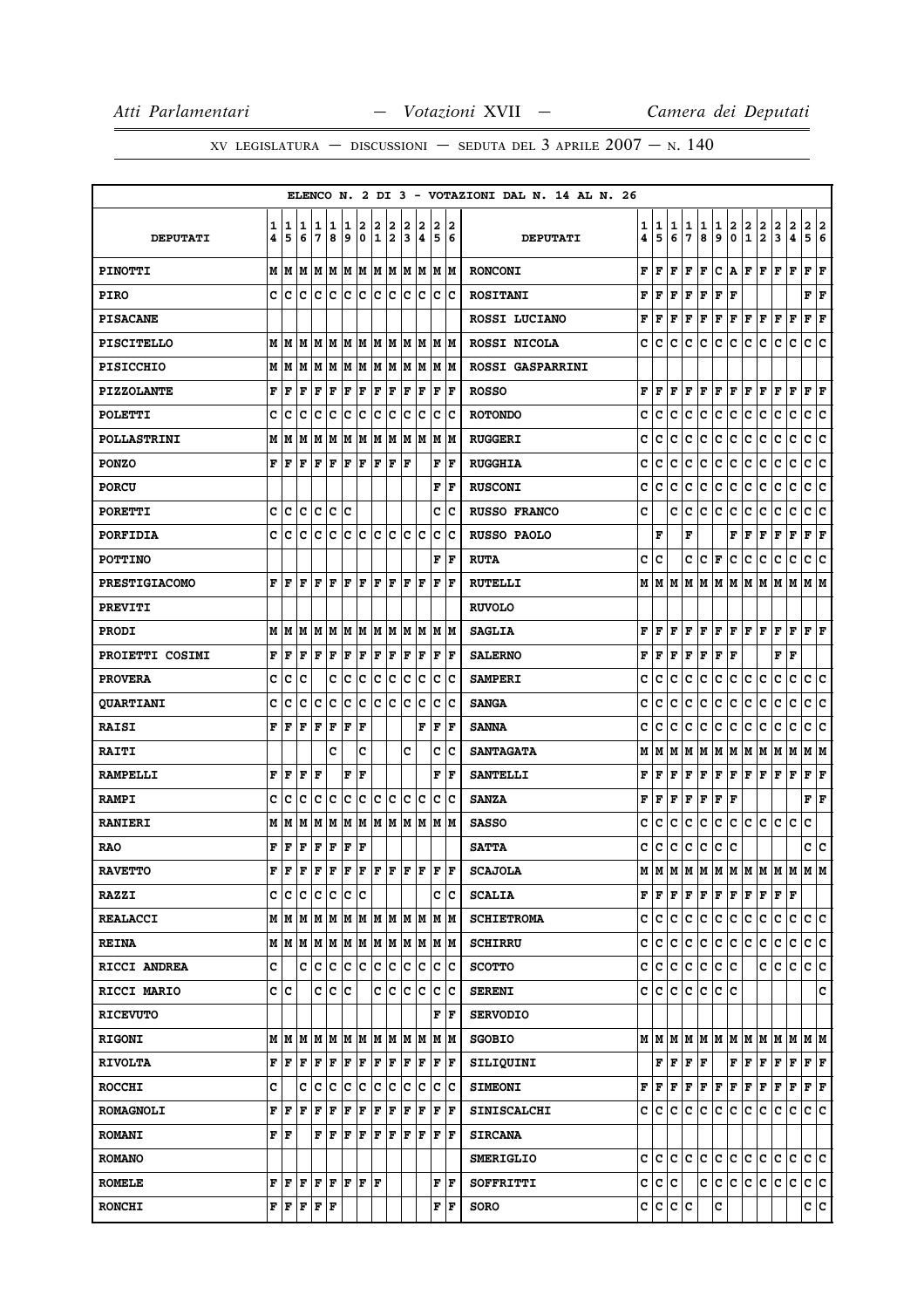|                    |        |                                                                                                                                                                                                                                                                                                                                                                                                                                                                                            |        |                     |                  |          |        |        |           |        |        |                                                                       |                             | ELENCO N. 2 DI 3 - VOTAZIONI DAL N. 14 AL N. 26 |        |         |        |             |           |                                                                                                                                                                                                                                                                                                                                                                                                                                                                                            |        |                   |                                                                                                                                                                                                                                                                                                                                                                                                                                                                                            |         |                     |                        |     |
|--------------------|--------|--------------------------------------------------------------------------------------------------------------------------------------------------------------------------------------------------------------------------------------------------------------------------------------------------------------------------------------------------------------------------------------------------------------------------------------------------------------------------------------------|--------|---------------------|------------------|----------|--------|--------|-----------|--------|--------|-----------------------------------------------------------------------|-----------------------------|-------------------------------------------------|--------|---------|--------|-------------|-----------|--------------------------------------------------------------------------------------------------------------------------------------------------------------------------------------------------------------------------------------------------------------------------------------------------------------------------------------------------------------------------------------------------------------------------------------------------------------------------------------------|--------|-------------------|--------------------------------------------------------------------------------------------------------------------------------------------------------------------------------------------------------------------------------------------------------------------------------------------------------------------------------------------------------------------------------------------------------------------------------------------------------------------------------------------|---------|---------------------|------------------------|-----|
| <b>DEPUTATI</b>    | 1<br>4 | 1<br>5                                                                                                                                                                                                                                                                                                                                                                                                                                                                                     | 1<br>6 | 1<br>17             | 1<br>8           | 1<br>و ا | 2<br>0 | 2<br>1 | 2<br>2    | 2<br>3 | 2<br>4 | 2<br>5                                                                | 2<br>16                     | <b>DEPUTATI</b>                                 | 1<br>4 | 1<br>5  | 1<br>6 | 1<br>7      | 1<br>8    | 1<br>9                                                                                                                                                                                                                                                                                                                                                                                                                                                                                     | 2<br>0 | $\mathbf{2}$<br>1 | 2<br>$\mathbf{2}$                                                                                                                                                                                                                                                                                                                                                                                                                                                                          | 2<br>3  | $\overline{2}$<br>4 | $\mathbf{2}$<br>5 6    | 2   |
| <b>PINOTTI</b>     |        | M   M   M                                                                                                                                                                                                                                                                                                                                                                                                                                                                                  |        | M  M  M  M          |                  |          |        |        | M M       |        | M M    |                                                                       | M M                         | <b>RONCONI</b>                                  | F      | F       | F      | F           | F         | c                                                                                                                                                                                                                                                                                                                                                                                                                                                                                          | ١A.    | F                 | l F                                                                                                                                                                                                                                                                                                                                                                                                                                                                                        | F       | l F                 | F                      | lF. |
| <b>PIRO</b>        |        |                                                                                                                                                                                                                                                                                                                                                                                                                                                                                            |        |                     |                  |          |        |        |           | c c    |        |                                                                       | c c                         | <b>ROSITANI</b>                                 | F      | F F     |        | F           | F         | F                                                                                                                                                                                                                                                                                                                                                                                                                                                                                          | lF     |                   |                                                                                                                                                                                                                                                                                                                                                                                                                                                                                            |         |                     | F F                    |     |
| <b>PISACANE</b>    |        |                                                                                                                                                                                                                                                                                                                                                                                                                                                                                            |        |                     |                  |          |        |        |           |        |        |                                                                       |                             | ROSSI LUCIANO                                   | F      | F       | F      | F           | F         | F                                                                                                                                                                                                                                                                                                                                                                                                                                                                                          | F      | F                 | F                                                                                                                                                                                                                                                                                                                                                                                                                                                                                          | F       | F                   | F                      | F   |
| <b>PISCITELLO</b>  |        | $M$ $ M$ $ M$ $ M$ $ M$ $ M$ $ M$ $ M$ $ M$                                                                                                                                                                                                                                                                                                                                                                                                                                                |        |                     |                  |          |        |        |           |        | M M    | IM IM                                                                 |                             | ROSSI NICOLA                                    | c      | c       | c      | с           | c         | c                                                                                                                                                                                                                                                                                                                                                                                                                                                                                          | lc.    | c                 | c                                                                                                                                                                                                                                                                                                                                                                                                                                                                                          | c       | $\mathbf C$         | c c                    |     |
| <b>PISICCHIO</b>   |        | M   M   M                                                                                                                                                                                                                                                                                                                                                                                                                                                                                  |        | M M M M M           |                  |          |        |        |           |        | M M    |                                                                       | IM IM                       | <b>ROSSI GASPARRINI</b>                         |        |         |        |             |           |                                                                                                                                                                                                                                                                                                                                                                                                                                                                                            |        |                   |                                                                                                                                                                                                                                                                                                                                                                                                                                                                                            |         |                     |                        |     |
| <b>PIZZOLANTE</b>  | F      | l F                                                                                                                                                                                                                                                                                                                                                                                                                                                                                        | F      | F                   | F                | F        | F      | F      | F         | F      | F      | F                                                                     | ١F                          | <b>ROSSO</b>                                    | F      | F       | F      | F           | F         | $\mathbf F$                                                                                                                                                                                                                                                                                                                                                                                                                                                                                | F      | F                 | F                                                                                                                                                                                                                                                                                                                                                                                                                                                                                          | F       | F                   | F                      | ΙF  |
| <b>POLETTI</b>     | C      | c                                                                                                                                                                                                                                                                                                                                                                                                                                                                                          | c      | Ιc                  | Ιc               | Ιc       | ١c     | Ιc     | Iс        | lc.    | Iс     | c                                                                     | Ιc                          | <b>ROTONDO</b>                                  | c      | c       | c      | c           | c         | c                                                                                                                                                                                                                                                                                                                                                                                                                                                                                          | c      | c                 | c                                                                                                                                                                                                                                                                                                                                                                                                                                                                                          | c       | c                   | c c                    |     |
| <b>POLLASTRINI</b> |        | MM                                                                                                                                                                                                                                                                                                                                                                                                                                                                                         | M      | lм                  | M                | lм       | M      |        | M M       |        | M M    | M                                                                     | M                           | <b>RUGGERI</b>                                  | c      | c       | c      | c           | c         | c                                                                                                                                                                                                                                                                                                                                                                                                                                                                                          | c      | c                 | c                                                                                                                                                                                                                                                                                                                                                                                                                                                                                          | с       | c                   | c                      | lc. |
| <b>PONZO</b>       | F      | F                                                                                                                                                                                                                                                                                                                                                                                                                                                                                          | F      | $F$ $F$ $F$ $F$     |                  |          |        | F F    |           | ١F     |        | F                                                                     | F                           | <b>RUGGHIA</b>                                  | c      | c       | c      | c           | с         | c                                                                                                                                                                                                                                                                                                                                                                                                                                                                                          | c      | с                 | c                                                                                                                                                                                                                                                                                                                                                                                                                                                                                          | с       | c                   | c                      | c   |
| <b>PORCU</b>       |        |                                                                                                                                                                                                                                                                                                                                                                                                                                                                                            |        |                     |                  |          |        |        |           |        |        | F                                                                     | F                           | <b>RUSCONI</b>                                  | c      | c       | c      | c           | c         | c                                                                                                                                                                                                                                                                                                                                                                                                                                                                                          | c      | с                 | с                                                                                                                                                                                                                                                                                                                                                                                                                                                                                          | с       | с                   | c                      | c   |
| <b>PORETTI</b>     | c      | c                                                                                                                                                                                                                                                                                                                                                                                                                                                                                          | c      | c c                 |                  | Ιc       |        |        |           |        |        | c                                                                     | Ιc                          | <b>RUSSO FRANCO</b>                             | c      |         | c      | c           | c         | c                                                                                                                                                                                                                                                                                                                                                                                                                                                                                          | c      | с                 | c                                                                                                                                                                                                                                                                                                                                                                                                                                                                                          | c       | $\mathbf C$         | c c                    |     |
| <b>PORFIDIA</b>    | c      | lc                                                                                                                                                                                                                                                                                                                                                                                                                                                                                         | lc.    | lc.                 | lc.              | lc.      | lc.    | lc.    | ∣c        | lc.    | lc     | $\mathbf c$                                                           | Ιc                          | <b>RUSSO PAOLO</b>                              |        | F       |        | F           |           |                                                                                                                                                                                                                                                                                                                                                                                                                                                                                            | F      | F                 | F                                                                                                                                                                                                                                                                                                                                                                                                                                                                                          | F       | F                   | $ {\bf F}  {\bf F} $   |     |
| <b>POTTINO</b>     |        |                                                                                                                                                                                                                                                                                                                                                                                                                                                                                            |        |                     |                  |          |        |        |           |        |        | F                                                                     | ١F                          | <b>RUTA</b>                                     | c      | C       |        | C           | c         | F                                                                                                                                                                                                                                                                                                                                                                                                                                                                                          | c      | с                 | c                                                                                                                                                                                                                                                                                                                                                                                                                                                                                          | с       | c                   | c                      | lc. |
| PRESTIGIACOMO      | F      | ١F                                                                                                                                                                                                                                                                                                                                                                                                                                                                                         |        | $\bf  F  F  F  F$   |                  |          |        | F F    |           | lF.    | ١F     | l F                                                                   | lF.                         | <b>RUTELLI</b>                                  |        | MMM     |        |             |           |                                                                                                                                                                                                                                                                                                                                                                                                                                                                                            |        |                   | IM   M   M   M   M   M   M   M   M                                                                                                                                                                                                                                                                                                                                                                                                                                                         |         |                     |                        |     |
| <b>PREVITI</b>     |        |                                                                                                                                                                                                                                                                                                                                                                                                                                                                                            |        |                     |                  |          |        |        |           |        |        |                                                                       |                             | <b>RUVOLO</b>                                   |        |         |        |             |           |                                                                                                                                                                                                                                                                                                                                                                                                                                                                                            |        |                   |                                                                                                                                                                                                                                                                                                                                                                                                                                                                                            |         |                     |                        |     |
| <b>PRODI</b>       |        | M   M   M                                                                                                                                                                                                                                                                                                                                                                                                                                                                                  |        |                     | M  M  M  M  M  M |          |        |        |           |        | M M    |                                                                       | M M                         | <b>SAGLIA</b>                                   | F      | lF.     | F      | F           | F         | $\bf{F}$ $\bf{F}$ $\bf{F}$ $\bf{F}$                                                                                                                                                                                                                                                                                                                                                                                                                                                        |        |                   |                                                                                                                                                                                                                                                                                                                                                                                                                                                                                            | F       | F                   | $F$ $\bf{F}$           |     |
| PROIETTI COSIMI    | F      | l F                                                                                                                                                                                                                                                                                                                                                                                                                                                                                        | F      | lF.                 | ΙF               | F        | F      | F      | F         | l F    | F      | F                                                                     | lF.                         | <b>SALERNO</b>                                  | F      | l F     | F      | $\mathbf F$ | F         | l F                                                                                                                                                                                                                                                                                                                                                                                                                                                                                        | F      |                   |                                                                                                                                                                                                                                                                                                                                                                                                                                                                                            | F       | F                   |                        |     |
| <b>PROVERA</b>     | c      | c                                                                                                                                                                                                                                                                                                                                                                                                                                                                                          | C      |                     | C                | c        | ∣c     | c      | c         | c      | c      | $\mathbf{C}$                                                          | Ιc                          | <b>SAMPERI</b>                                  | c      | C       | c      | C           | c         | $\mathbf c$                                                                                                                                                                                                                                                                                                                                                                                                                                                                                | c      | c.                | c                                                                                                                                                                                                                                                                                                                                                                                                                                                                                          | c       | $\mathbf c$         | c c                    |     |
| <b>QUARTIANI</b>   | C      | c                                                                                                                                                                                                                                                                                                                                                                                                                                                                                          | c      | c                   | c                | c        | c      | lc     | lc.       | lc.    | Ιc     | c                                                                     | Ιc                          | <b>SANGA</b>                                    | c      | c       | C      | c           | с         | c                                                                                                                                                                                                                                                                                                                                                                                                                                                                                          | c      | c                 | c                                                                                                                                                                                                                                                                                                                                                                                                                                                                                          | с       | $\mathbf C$         | c                      | c   |
| <b>RAISI</b>       | F      | ١F                                                                                                                                                                                                                                                                                                                                                                                                                                                                                         | F      | lF.                 | ΙF               | F        | l F    |        |           |        | F      | l F                                                                   | lF.                         | <b>SANNA</b>                                    | c      | c       | c      | c           | c         | c                                                                                                                                                                                                                                                                                                                                                                                                                                                                                          | c      | c                 | c                                                                                                                                                                                                                                                                                                                                                                                                                                                                                          | c       | c                   | c                      | ١c  |
| <b>RAITI</b>       |        |                                                                                                                                                                                                                                                                                                                                                                                                                                                                                            |        |                     | c                |          | c      |        |           | c      |        | c                                                                     | lc                          | <b>SANTAGATA</b>                                | М      | м       | M      | М           | M         | M M                                                                                                                                                                                                                                                                                                                                                                                                                                                                                        |        | M M               |                                                                                                                                                                                                                                                                                                                                                                                                                                                                                            | M       | M                   | MM                     |     |
| <b>RAMPELLI</b>    | F      | F                                                                                                                                                                                                                                                                                                                                                                                                                                                                                          | F      | lF                  |                  | F        | l F    |        |           |        |        | F                                                                     | l F                         | <b>SANTELLI</b>                                 | F      | l F     | F      | F           | IF.       | F                                                                                                                                                                                                                                                                                                                                                                                                                                                                                          | F      | F                 | F                                                                                                                                                                                                                                                                                                                                                                                                                                                                                          | F       | F                   | F F                    |     |
| <b>RAMPI</b>       | c      | c                                                                                                                                                                                                                                                                                                                                                                                                                                                                                          | Ιc     | Ιc                  | ΙC               | lc.      | ١c     | lc.    | Iс        | lc.    | lc     | c                                                                     | Iс                          | <b>SANZA</b>                                    | F      | F       | F      | F           | F         | F                                                                                                                                                                                                                                                                                                                                                                                                                                                                                          | F      |                   |                                                                                                                                                                                                                                                                                                                                                                                                                                                                                            |         |                     | ${\bf F} \mid {\bf F}$ |     |
| <b>RANIERI</b>     |        | MИ                                                                                                                                                                                                                                                                                                                                                                                                                                                                                         | M      | lм                  | lм               | lМ       |        |        | M   M   M | lм     | lм     | lm Im                                                                 |                             | <b>SASSO</b>                                    | c      | c       | c      | c           | c         | c                                                                                                                                                                                                                                                                                                                                                                                                                                                                                          | c      | c.                | lc.                                                                                                                                                                                                                                                                                                                                                                                                                                                                                        | IС      | Iс                  | c                      |     |
| <b>RAO</b>         | F      | F                                                                                                                                                                                                                                                                                                                                                                                                                                                                                          | F      | F                   | F                | F        | F      |        |           |        |        |                                                                       |                             | <b>SATTA</b>                                    | c      | c       | c.     | c           | c.        | c.                                                                                                                                                                                                                                                                                                                                                                                                                                                                                         | c      |                   |                                                                                                                                                                                                                                                                                                                                                                                                                                                                                            |         |                     | c c                    |     |
| <b>RAVETTO</b>     | F      | l F                                                                                                                                                                                                                                                                                                                                                                                                                                                                                        |        |                     |                  |          |        |        |           |        |        |                                                                       |                             | <b>SCAJOLA</b>                                  | М      |         |        |             |           |                                                                                                                                                                                                                                                                                                                                                                                                                                                                                            |        |                   | м м м м м м м м м м м м                                                                                                                                                                                                                                                                                                                                                                                                                                                                    |         |                     |                        |     |
| <b>RAZZI</b>       |        | c  c  c  c  c  c  c                                                                                                                                                                                                                                                                                                                                                                                                                                                                        |        |                     |                  |          |        |        |           |        |        |                                                                       | c  c                        | <b>SCALIA</b>                                   |        |         |        |             |           | ${\bf F}$ $\bf [F]$ $\bf [F]$ $\bf [F]$ $\bf [F]$                                                                                                                                                                                                                                                                                                                                                                                                                                          |        | F F               |                                                                                                                                                                                                                                                                                                                                                                                                                                                                                            | FF      |                     |                        |     |
| <b>REALACCI</b>    |        |                                                                                                                                                                                                                                                                                                                                                                                                                                                                                            |        |                     |                  |          |        |        |           |        |        | $M$   $M$   $M$   $M$   $M$   $M$   $M$   $M$   $M$   $M$   $M$   $M$ |                             | <b>SCHIETROMA</b>                               |        |         |        |             |           | c c c c c c c c                                                                                                                                                                                                                                                                                                                                                                                                                                                                            |        | c.                | lc.                                                                                                                                                                                                                                                                                                                                                                                                                                                                                        | lc.     | c.                  | c c                    |     |
| <b>REINA</b>       |        |                                                                                                                                                                                                                                                                                                                                                                                                                                                                                            |        |                     |                  |          |        |        |           |        |        |                                                                       |                             | <b>SCHIRRU</b>                                  |        | c Ic    | lc.    | lc.         | c         | lc.                                                                                                                                                                                                                                                                                                                                                                                                                                                                                        | c      | lc.               | lc.                                                                                                                                                                                                                                                                                                                                                                                                                                                                                        | c       | c                   | c c                    |     |
| RICCI ANDREA       | c      |                                                                                                                                                                                                                                                                                                                                                                                                                                                                                            |        | c c c c c c c       |                  |          |        |        |           | c c    |        | c c                                                                   |                             | <b>SCOTTO</b>                                   |        |         |        |             |           | c c c c c c c c                                                                                                                                                                                                                                                                                                                                                                                                                                                                            |        |                   | c                                                                                                                                                                                                                                                                                                                                                                                                                                                                                          | IC.     | С                   | c c                    |     |
| RICCI MARIO        |        | c  c                                                                                                                                                                                                                                                                                                                                                                                                                                                                                       |        |                     | c c c            |          |        |        | c c       | lc.    | Ιc     | c                                                                     | Ιc                          | <b>SERENI</b>                                   |        |         |        | c c c c     | lc.       | lc.                                                                                                                                                                                                                                                                                                                                                                                                                                                                                        | c      |                   |                                                                                                                                                                                                                                                                                                                                                                                                                                                                                            |         |                     |                        | C   |
| <b>RICEVUTO</b>    |        |                                                                                                                                                                                                                                                                                                                                                                                                                                                                                            |        |                     |                  |          |        |        |           |        |        |                                                                       | ${\bf F} \parallel {\bf F}$ | <b>SERVODIO</b>                                 |        |         |        |             |           |                                                                                                                                                                                                                                                                                                                                                                                                                                                                                            |        |                   |                                                                                                                                                                                                                                                                                                                                                                                                                                                                                            |         |                     |                        |     |
| <b>RIGONI</b>      |        |                                                                                                                                                                                                                                                                                                                                                                                                                                                                                            |        |                     |                  |          |        |        |           |        |        |                                                                       |                             | <b>SGOBIO</b>                                   |        |         |        |             |           |                                                                                                                                                                                                                                                                                                                                                                                                                                                                                            |        |                   | $M$   $M$   $M$   $M$   $M$   $M$   $M$   $M$   $M$   $M$   $M$   $M$                                                                                                                                                                                                                                                                                                                                                                                                                      |         |                     |                        |     |
| <b>RIVOLTA</b>     |        | $\mathbf{F} \left  \mathbf{F} \right. \left  \mathbf{F} \right. \left  \mathbf{F} \right. \left  \mathbf{F} \right. \left  \mathbf{F} \right. \left  \mathbf{F} \right. \left  \mathbf{F} \right. \left  \mathbf{F} \right. \left  \mathbf{F} \right. \left  \mathbf{F} \right. \left  \mathbf{F} \right. \left  \mathbf{F} \right. \left  \mathbf{F} \right. \left  \mathbf{F} \right. \left  \mathbf{F} \right. \left  \mathbf{F} \right. \left  \mathbf{F} \right. \left  \mathbf{F} \$ |        |                     |                  |          |        |        |           | F F    |        | $ {\bf F}  {\bf F} $                                                  |                             | SILIQUINI                                       |        |         |        | F F F F     |           |                                                                                                                                                                                                                                                                                                                                                                                                                                                                                            |        |                   | $\mathbf{F} \left  \mathbf{F} \right. \left  \mathbf{F} \right. \left  \mathbf{F} \right. \left  \mathbf{F} \right. \left  \mathbf{F} \right. \left  \mathbf{F} \right. \left  \mathbf{F} \right. \left  \mathbf{F} \right. \left  \mathbf{F} \right. \left  \mathbf{F} \right. \left  \mathbf{F} \right. \left  \mathbf{F} \right. \left  \mathbf{F} \right. \left  \mathbf{F} \right. \left  \mathbf{F} \right. \left  \mathbf{F} \right. \left  \mathbf{F} \right. \left  \mathbf{F} \$ |         |                     |                        |     |
| <b>ROCCHI</b>      | c      |                                                                                                                                                                                                                                                                                                                                                                                                                                                                                            |        | c c c c c c c c c c |                  |          |        |        |           |        |        | C C                                                                   |                             | <b>SIMEONI</b>                                  |        |         |        |             |           | $\mathbf{F} \left  \mathbf{F} \right. \left  \mathbf{F} \right. \left  \mathbf{F} \right. \left  \mathbf{F} \right. \left  \mathbf{F} \right. \left  \mathbf{F} \right. \left  \mathbf{F} \right. \left  \mathbf{F} \right. \left  \mathbf{F} \right. \left  \mathbf{F} \right. \left  \mathbf{F} \right. \left  \mathbf{F} \right. \left  \mathbf{F} \right. \left  \mathbf{F} \right. \left  \mathbf{F} \right. \left  \mathbf{F} \right. \left  \mathbf{F} \right. \left  \mathbf{F} \$ |        |                   |                                                                                                                                                                                                                                                                                                                                                                                                                                                                                            | F F F F |                     |                        |     |
| <b>ROMAGNOLI</b>   |        | F  F                                                                                                                                                                                                                                                                                                                                                                                                                                                                                       | l F    | F                   | F                | F F      |        | F      | F         | F      | F      | F                                                                     | F                           | <b>SINISCALCHI</b>                              |        | c  c  c |        | IC.         | с         | c                                                                                                                                                                                                                                                                                                                                                                                                                                                                                          | IC.    | C                 | c                                                                                                                                                                                                                                                                                                                                                                                                                                                                                          | с       | С                   | c c                    |     |
| <b>ROMANI</b>      |        | F F                                                                                                                                                                                                                                                                                                                                                                                                                                                                                        |        |                     | F   F   F   F    |          |        | F F    |           | F F    |        | F F                                                                   |                             | <b>SIRCANA</b>                                  |        |         |        |             |           |                                                                                                                                                                                                                                                                                                                                                                                                                                                                                            |        |                   |                                                                                                                                                                                                                                                                                                                                                                                                                                                                                            |         |                     |                        |     |
| <b>ROMANO</b>      |        |                                                                                                                                                                                                                                                                                                                                                                                                                                                                                            |        |                     |                  |          |        |        |           |        |        |                                                                       |                             | <b>SMERIGLIO</b>                                |        |         |        |             | c c c c c | c c                                                                                                                                                                                                                                                                                                                                                                                                                                                                                        |        | c c               |                                                                                                                                                                                                                                                                                                                                                                                                                                                                                            | lc.     | lc.                 | c c                    |     |
| <b>ROMELE</b>      |        | ${\bf F}$ $\bf F$ $\bf F$ $\bf F$ $\bf F$                                                                                                                                                                                                                                                                                                                                                                                                                                                  |        |                     |                  | F F F    |        |        |           |        |        |                                                                       | F F                         | SOFFRITTI                                       |        | c c c   |        |             |           | c c                                                                                                                                                                                                                                                                                                                                                                                                                                                                                        | c.     | c.                | ∣c∶                                                                                                                                                                                                                                                                                                                                                                                                                                                                                        | lc.     | c                   | c c                    |     |
| <b>RONCHI</b>      |        | $\mathbf{F} \left  \mathbf{F} \right  \mathbf{F} \left  \mathbf{F} \right  \mathbf{F}$                                                                                                                                                                                                                                                                                                                                                                                                     |        |                     |                  |          |        |        |           |        |        | F                                                                     | F                           | SORO                                            |        | c c c c |        |             |           | с                                                                                                                                                                                                                                                                                                                                                                                                                                                                                          |        |                   |                                                                                                                                                                                                                                                                                                                                                                                                                                                                                            |         |                     | c c                    |     |